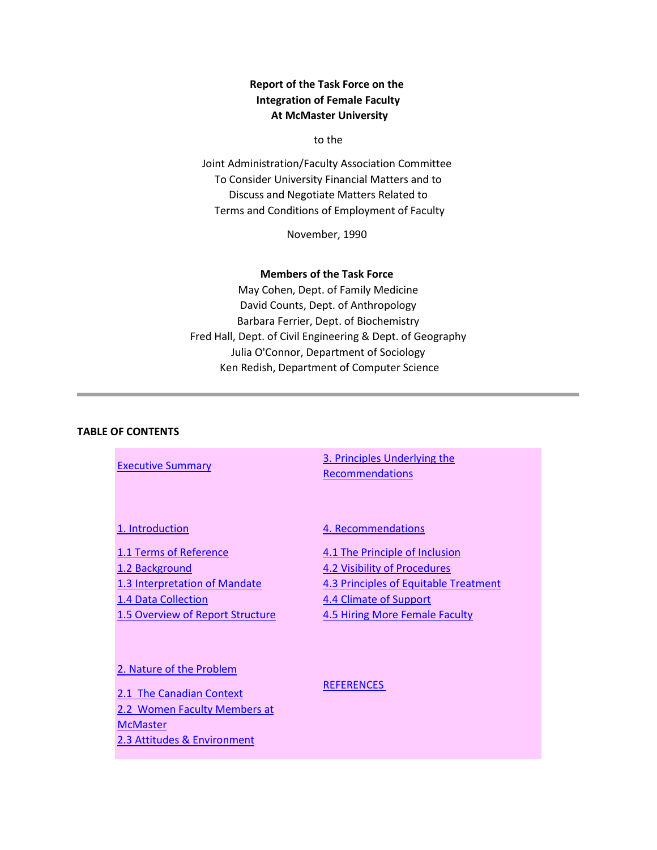## **Report of the Task Force on the Integration of Female Faculty At McMaster University**

to the

Joint Administration/Faculty Association Committee To Consider University Financial Matters and to Discuss and Negotiate Matters Related to Terms and Conditions of Employment of Faculty

November, 1990

#### **Members of the Task Force**

May Cohen, Dept. of Family Medicine David Counts, Dept. of Anthropology Barbara Ferrier, Dept. of Biochemistry Fred Hall, Dept. of Civil Engineering & Dept. of Geography Julia O'Connor, Department of Sociology Ken Redish, Department of Computer Science

#### **TABLE OF CONTENTS**

[Executive Summary](http://www.mcmaster.ca/mufa/integration.html%23executive) **3. Principles Underlying the [Recommendations](http://www.mcmaster.ca/mufa/integration.html%23principles)** 

[1. Introduction](http://www.mcmaster.ca/mufa/integration.html%23introduction)

[1.1 Terms of Reference](http://www.mcmaster.ca/mufa/integration.html%23terms) [1.2 Background](http://www.mcmaster.ca/mufa/integration.html%23background) [1.3 Interpretation of Mandate](http://www.mcmaster.ca/mufa/integration.html%23interpretation) [1.4 Data Collection](http://www.mcmaster.ca/mufa/integration.html%23data) [1.5 Overview of Report Structure](http://www.mcmaster.ca/mufa/integration.html%23overview) [4. Recommendations](http://www.mcmaster.ca/mufa/integration.html%23recommendations)

[4.1 The Principle of Inclusion](http://www.mcmaster.ca/mufa/integration.html%23inclusion) [4.2 Visibility of Procedures](http://www.mcmaster.ca/mufa/integration.html%23visibility) [4.3 Principles of Equitable Treatment](http://www.mcmaster.ca/mufa/integration.html%23equitable) [4.4 Climate of Support](http://www.mcmaster.ca/mufa/integration.html%23climate) [4.5 Hiring More Female Faculty](http://www.mcmaster.ca/mufa/integration.html%23hiring)

#### [2. Nature of the Problem](http://www.mcmaster.ca/mufa/integration.html%23nature)

2.1 [The Canadian Context](http://www.mcmaster.ca/mufa/integration.html%23canadian) 2.2 [Women Faculty Members at](http://www.mcmaster.ca/mufa/integration.html%23women)  **[McMaster](http://www.mcmaster.ca/mufa/integration.html%23women)** [2.3 Attitudes & Environment](http://www.mcmaster.ca/mufa/integration.html%23attitudes)

[REFERENCES](http://www.mcmaster.ca/mufa/integration.html%23references)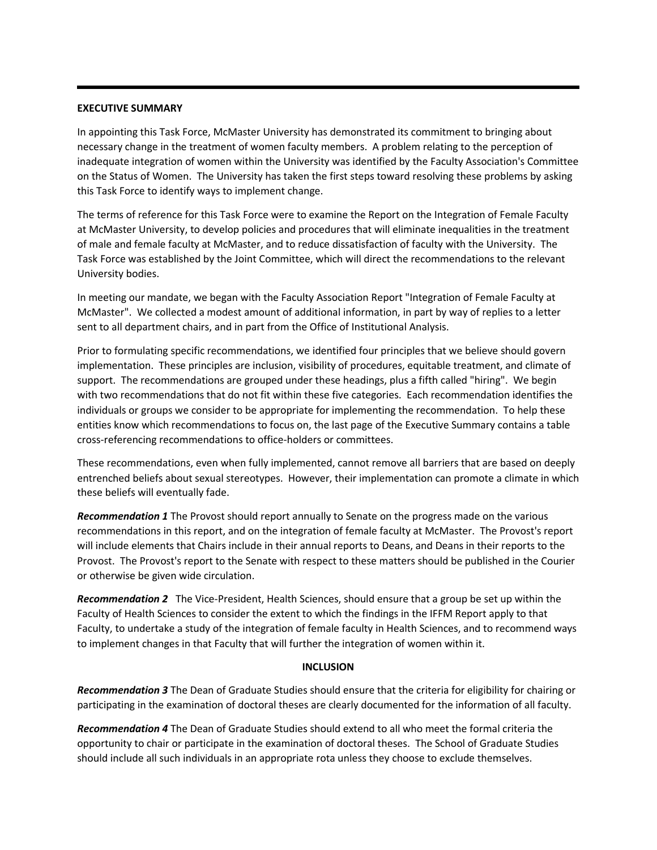#### **EXECUTIVE SUMMARY**

In appointing this Task Force, McMaster University has demonstrated its commitment to bringing about necessary change in the treatment of women faculty members. A problem relating to the perception of inadequate integration of women within the University was identified by the Faculty Association's Committee on the Status of Women. The University has taken the first steps toward resolving these problems by asking this Task Force to identify ways to implement change.

The terms of reference for this Task Force were to examine the Report on the Integration of Female Faculty at McMaster University, to develop policies and procedures that will eliminate inequalities in the treatment of male and female faculty at McMaster, and to reduce dissatisfaction of faculty with the University. The Task Force was established by the Joint Committee, which will direct the recommendations to the relevant University bodies.

In meeting our mandate, we began with the Faculty Association Report "Integration of Female Faculty at McMaster". We collected a modest amount of additional information, in part by way of replies to a letter sent to all department chairs, and in part from the Office of Institutional Analysis.

Prior to formulating specific recommendations, we identified four principles that we believe should govern implementation. These principles are inclusion, visibility of procedures, equitable treatment, and climate of support. The recommendations are grouped under these headings, plus a fifth called "hiring". We begin with two recommendations that do not fit within these five categories. Each recommendation identifies the individuals or groups we consider to be appropriate for implementing the recommendation. To help these entities know which recommendations to focus on, the last page of the Executive Summary contains a table cross-referencing recommendations to office-holders or committees.

These recommendations, even when fully implemented, cannot remove all barriers that are based on deeply entrenched beliefs about sexual stereotypes. However, their implementation can promote a climate in which these beliefs will eventually fade.

*Recommendation 1* The Provost should report annually to Senate on the progress made on the various recommendations in this report, and on the integration of female faculty at McMaster. The Provost's report will include elements that Chairs include in their annual reports to Deans, and Deans in their reports to the Provost. The Provost's report to the Senate with respect to these matters should be published in the Courier or otherwise be given wide circulation.

*Recommendation 2* The Vice-President, Health Sciences, should ensure that a group be set up within the Faculty of Health Sciences to consider the extent to which the findings in the IFFM Report apply to that Faculty, to undertake a study of the integration of female faculty in Health Sciences, and to recommend ways to implement changes in that Faculty that will further the integration of women within it.

#### **INCLUSION**

*Recommendation 3* The Dean of Graduate Studies should ensure that the criteria for eligibility for chairing or participating in the examination of doctoral theses are clearly documented for the information of all faculty.

*Recommendation 4* The Dean of Graduate Studies should extend to all who meet the formal criteria the opportunity to chair or participate in the examination of doctoral theses. The School of Graduate Studies should include all such individuals in an appropriate rota unless they choose to exclude themselves.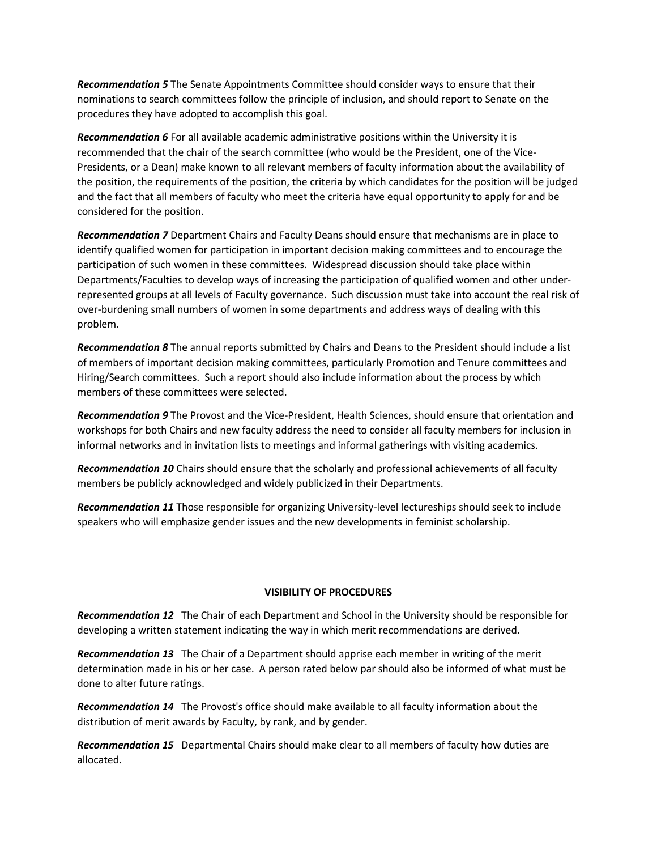*Recommendation 5* The Senate Appointments Committee should consider ways to ensure that their nominations to search committees follow the principle of inclusion, and should report to Senate on the procedures they have adopted to accomplish this goal.

*Recommendation 6* For all available academic administrative positions within the University it is recommended that the chair of the search committee (who would be the President, one of the Vice-Presidents, or a Dean) make known to all relevant members of faculty information about the availability of the position, the requirements of the position, the criteria by which candidates for the position will be judged and the fact that all members of faculty who meet the criteria have equal opportunity to apply for and be considered for the position.

*Recommendation 7* Department Chairs and Faculty Deans should ensure that mechanisms are in place to identify qualified women for participation in important decision making committees and to encourage the participation of such women in these committees. Widespread discussion should take place within Departments/Faculties to develop ways of increasing the participation of qualified women and other underrepresented groups at all levels of Faculty governance. Such discussion must take into account the real risk of over-burdening small numbers of women in some departments and address ways of dealing with this problem.

*Recommendation 8* The annual reports submitted by Chairs and Deans to the President should include a list of members of important decision making committees, particularly Promotion and Tenure committees and Hiring/Search committees. Such a report should also include information about the process by which members of these committees were selected.

*Recommendation 9* The Provost and the Vice-President, Health Sciences, should ensure that orientation and workshops for both Chairs and new faculty address the need to consider all faculty members for inclusion in informal networks and in invitation lists to meetings and informal gatherings with visiting academics.

*Recommendation 10* Chairs should ensure that the scholarly and professional achievements of all faculty members be publicly acknowledged and widely publicized in their Departments.

*Recommendation 11* Those responsible for organizing University-level lectureships should seek to include speakers who will emphasize gender issues and the new developments in feminist scholarship.

#### **VISIBILITY OF PROCEDURES**

*Recommendation 12* The Chair of each Department and School in the University should be responsible for developing a written statement indicating the way in which merit recommendations are derived.

*Recommendation 13* The Chair of a Department should apprise each member in writing of the merit determination made in his or her case. A person rated below par should also be informed of what must be done to alter future ratings.

*Recommendation 14* The Provost's office should make available to all faculty information about the distribution of merit awards by Faculty, by rank, and by gender.

*Recommendation 15* Departmental Chairs should make clear to all members of faculty how duties are allocated.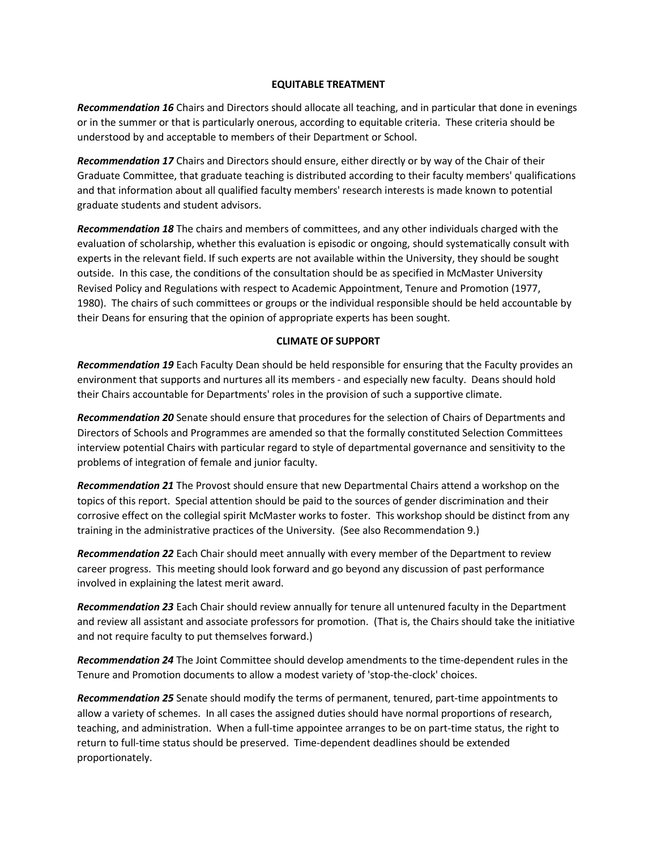#### **EQUITABLE TREATMENT**

*Recommendation 16* Chairs and Directors should allocate all teaching, and in particular that done in evenings or in the summer or that is particularly onerous, according to equitable criteria. These criteria should be understood by and acceptable to members of their Department or School.

*Recommendation 17* Chairs and Directors should ensure, either directly or by way of the Chair of their Graduate Committee, that graduate teaching is distributed according to their faculty members' qualifications and that information about all qualified faculty members' research interests is made known to potential graduate students and student advisors.

*Recommendation 18* The chairs and members of committees, and any other individuals charged with the evaluation of scholarship, whether this evaluation is episodic or ongoing, should systematically consult with experts in the relevant field. If such experts are not available within the University, they should be sought outside. In this case, the conditions of the consultation should be as specified in McMaster University Revised Policy and Regulations with respect to Academic Appointment, Tenure and Promotion (1977, 1980). The chairs of such committees or groups or the individual responsible should be held accountable by their Deans for ensuring that the opinion of appropriate experts has been sought.

#### **CLIMATE OF SUPPORT**

*Recommendation 19* Each Faculty Dean should be held responsible for ensuring that the Faculty provides an environment that supports and nurtures all its members - and especially new faculty. Deans should hold their Chairs accountable for Departments' roles in the provision of such a supportive climate.

*Recommendation 20* Senate should ensure that procedures for the selection of Chairs of Departments and Directors of Schools and Programmes are amended so that the formally constituted Selection Committees interview potential Chairs with particular regard to style of departmental governance and sensitivity to the problems of integration of female and junior faculty.

*Recommendation 21* The Provost should ensure that new Departmental Chairs attend a workshop on the topics of this report. Special attention should be paid to the sources of gender discrimination and their corrosive effect on the collegial spirit McMaster works to foster. This workshop should be distinct from any training in the administrative practices of the University. (See also Recommendation 9.)

*Recommendation 22* Each Chair should meet annually with every member of the Department to review career progress. This meeting should look forward and go beyond any discussion of past performance involved in explaining the latest merit award.

*Recommendation 23* Each Chair should review annually for tenure all untenured faculty in the Department and review all assistant and associate professors for promotion. (That is, the Chairs should take the initiative and not require faculty to put themselves forward.)

*Recommendation 24* The Joint Committee should develop amendments to the time-dependent rules in the Tenure and Promotion documents to allow a modest variety of 'stop-the-clock' choices.

*Recommendation 25* Senate should modify the terms of permanent, tenured, part-time appointments to allow a variety of schemes. In all cases the assigned duties should have normal proportions of research, teaching, and administration. When a full-time appointee arranges to be on part-time status, the right to return to full-time status should be preserved. Time-dependent deadlines should be extended proportionately.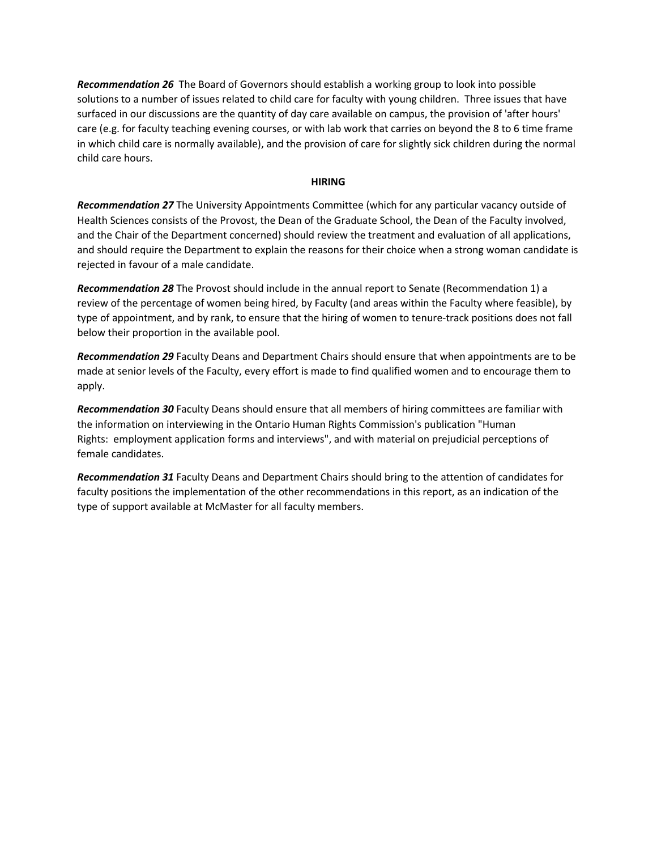*Recommendation 26* The Board of Governors should establish a working group to look into possible solutions to a number of issues related to child care for faculty with young children. Three issues that have surfaced in our discussions are the quantity of day care available on campus, the provision of 'after hours' care (e.g. for faculty teaching evening courses, or with lab work that carries on beyond the 8 to 6 time frame in which child care is normally available), and the provision of care for slightly sick children during the normal child care hours.

#### **HIRING**

*Recommendation 27* The University Appointments Committee (which for any particular vacancy outside of Health Sciences consists of the Provost, the Dean of the Graduate School, the Dean of the Faculty involved, and the Chair of the Department concerned) should review the treatment and evaluation of all applications, and should require the Department to explain the reasons for their choice when a strong woman candidate is rejected in favour of a male candidate.

*Recommendation 28* The Provost should include in the annual report to Senate (Recommendation 1) a review of the percentage of women being hired, by Faculty (and areas within the Faculty where feasible), by type of appointment, and by rank, to ensure that the hiring of women to tenure-track positions does not fall below their proportion in the available pool.

*Recommendation 29* Faculty Deans and Department Chairs should ensure that when appointments are to be made at senior levels of the Faculty, every effort is made to find qualified women and to encourage them to apply.

*Recommendation 30* Faculty Deans should ensure that all members of hiring committees are familiar with the information on interviewing in the Ontario Human Rights Commission's publication "Human Rights: employment application forms and interviews", and with material on prejudicial perceptions of female candidates.

*Recommendation 31* Faculty Deans and Department Chairs should bring to the attention of candidates for faculty positions the implementation of the other recommendations in this report, as an indication of the type of support available at McMaster for all faculty members.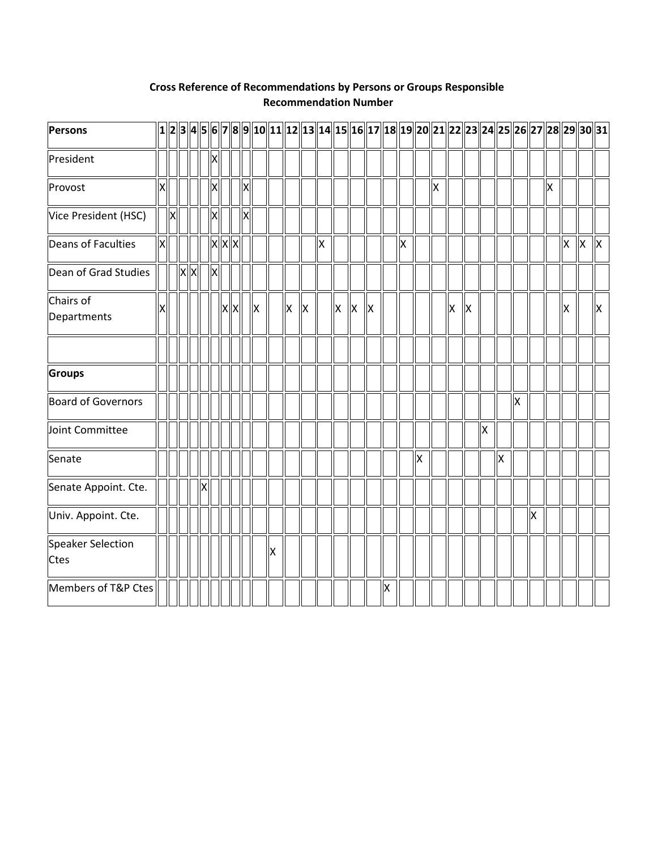| <b>Persons</b>            |    |   |         |    |              |       |   |   |     |    |     |   |   |    |   |    |    |   |    |    | $\big  1 \big  2 \big  3 \big  4 \big  5 \big  6 \big  7 \big  8 \big  9 \big  10 \big  11 \big  12 \big  13 \big  14 \big  15 \big  16 \big  17 \big  18 \big  19 \big  20 \big  21 \big  22 \big  23 \big  24 \big  25 \big  26 \big  27 \big  28 \big  29 \big  30 \big  31 \big  19 \big  29 \big  29 \big  20 \big  21 \big  22 \big  23 \$ |   |    |   |                           |   |    |   |    |     |
|---------------------------|----|---|---------|----|--------------|-------|---|---|-----|----|-----|---|---|----|---|----|----|---|----|----|--------------------------------------------------------------------------------------------------------------------------------------------------------------------------------------------------------------------------------------------------------------------------------------------------------------------------------------------------|---|----|---|---------------------------|---|----|---|----|-----|
| President                 |    |   |         |    |              |       |   |   |     |    |     |   |   |    |   |    |    |   |    |    |                                                                                                                                                                                                                                                                                                                                                  |   |    |   |                           |   |    |   |    |     |
| Provost                   | Ιx |   |         | lΧ |              |       |   | X |     |    |     |   |   |    |   |    |    |   |    | ΙX |                                                                                                                                                                                                                                                                                                                                                  |   |    |   |                           |   | ļх |   |    |     |
| Vice President (HSC)      |    | X |         |    |              |       |   | X |     |    |     |   |   |    |   |    |    |   |    |    |                                                                                                                                                                                                                                                                                                                                                  |   |    |   |                           |   |    |   |    |     |
| Deans of Faculties        | X  |   |         |    |              | X X X |   |   |     |    |     |   | Χ |    |   |    |    | X |    |    |                                                                                                                                                                                                                                                                                                                                                  |   |    |   |                           |   |    | X | ΙX | lХ. |
| Dean of Grad Studies      |    |   | $x$ $x$ |    | $\mathsf{X}$ |       |   |   |     |    |     |   |   |    |   |    |    |   |    |    |                                                                                                                                                                                                                                                                                                                                                  |   |    |   |                           |   |    |   |    |     |
| Chairs of<br>Departments  |    |   |         |    |              | IX    | X |   | llх |    | llх | X |   | lх | X | ΙX |    |   |    |    | Ιx                                                                                                                                                                                                                                                                                                                                               | X |    |   |                           |   |    | X |    | ΙX  |
|                           |    |   |         |    |              |       |   |   |     |    |     |   |   |    |   |    |    |   |    |    |                                                                                                                                                                                                                                                                                                                                                  |   |    |   |                           |   |    |   |    |     |
| Groups                    |    |   |         |    |              |       |   |   |     |    |     |   |   |    |   |    |    |   |    |    |                                                                                                                                                                                                                                                                                                                                                  |   |    |   |                           |   |    |   |    |     |
| Board of Governors        |    |   |         |    |              |       |   |   |     |    |     |   |   |    |   |    |    |   |    |    |                                                                                                                                                                                                                                                                                                                                                  |   |    |   | $\boldsymbol{\mathsf{X}}$ |   |    |   |    |     |
| Joint Committee           |    |   |         |    |              |       |   |   |     |    |     |   |   |    |   |    |    |   |    |    |                                                                                                                                                                                                                                                                                                                                                  |   | lх |   |                           |   |    |   |    |     |
| Senate                    |    |   |         |    |              |       |   |   |     |    |     |   |   |    |   |    |    |   | Ιx |    |                                                                                                                                                                                                                                                                                                                                                  |   |    | X |                           |   |    |   |    |     |
| Senate Appoint. Cte.      |    |   |         |    |              |       |   |   |     |    |     |   |   |    |   |    |    |   |    |    |                                                                                                                                                                                                                                                                                                                                                  |   |    |   |                           |   |    |   |    |     |
| Univ. Appoint. Cte.       |    |   |         |    |              |       |   |   |     |    |     |   |   |    |   |    |    |   |    |    |                                                                                                                                                                                                                                                                                                                                                  |   |    |   |                           | X |    |   |    |     |
| Speaker Selection<br>Ctes |    |   |         |    |              |       |   |   |     | ΙX |     |   |   |    |   |    |    |   |    |    |                                                                                                                                                                                                                                                                                                                                                  |   |    |   |                           |   |    |   |    |     |
| Members of T&P Ctes       |    |   |         |    |              |       |   |   |     |    |     |   |   |    |   |    | IХ |   |    |    |                                                                                                                                                                                                                                                                                                                                                  |   |    |   |                           |   |    |   |    |     |

# **Cross Reference of Recommendations by Persons or Groups Responsible Recommendation Number**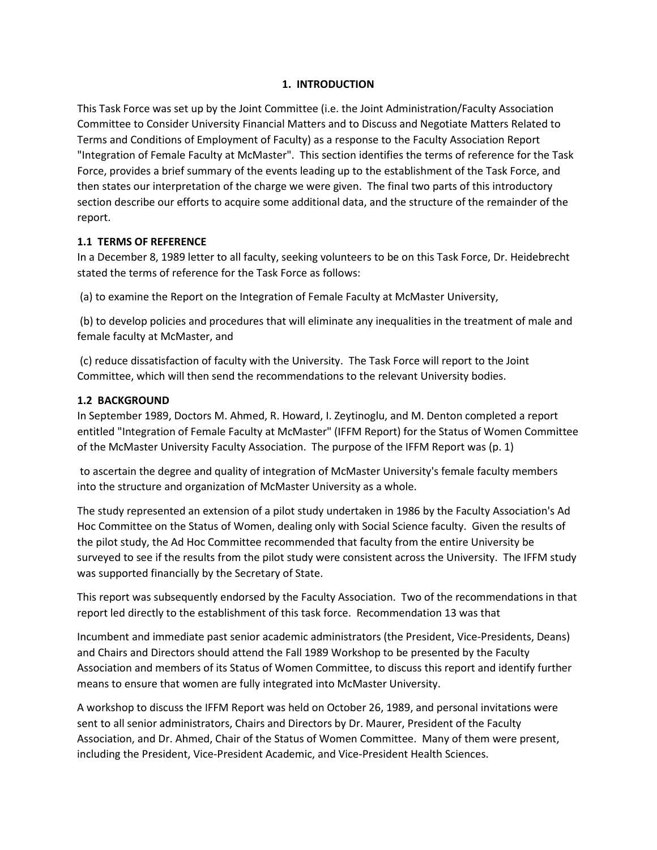#### **1. INTRODUCTION**

This Task Force was set up by the Joint Committee (i.e. the Joint Administration/Faculty Association Committee to Consider University Financial Matters and to Discuss and Negotiate Matters Related to Terms and Conditions of Employment of Faculty) as a response to the Faculty Association Report "Integration of Female Faculty at McMaster". This section identifies the terms of reference for the Task Force, provides a brief summary of the events leading up to the establishment of the Task Force, and then states our interpretation of the charge we were given. The final two parts of this introductory section describe our efforts to acquire some additional data, and the structure of the remainder of the report.

## **1.1 TERMS OF REFERENCE**

In a December 8, 1989 letter to all faculty, seeking volunteers to be on this Task Force, Dr. Heidebrecht stated the terms of reference for the Task Force as follows:

(a) to examine the Report on the Integration of Female Faculty at McMaster University,

(b) to develop policies and procedures that will eliminate any inequalities in the treatment of male and female faculty at McMaster, and

(c) reduce dissatisfaction of faculty with the University. The Task Force will report to the Joint Committee, which will then send the recommendations to the relevant University bodies.

## **1.2 BACKGROUND**

In September 1989, Doctors M. Ahmed, R. Howard, I. Zeytinoglu, and M. Denton completed a report entitled "Integration of Female Faculty at McMaster" (IFFM Report) for the Status of Women Committee of the McMaster University Faculty Association. The purpose of the IFFM Report was (p. 1)

to ascertain the degree and quality of integration of McMaster University's female faculty members into the structure and organization of McMaster University as a whole.

The study represented an extension of a pilot study undertaken in 1986 by the Faculty Association's Ad Hoc Committee on the Status of Women, dealing only with Social Science faculty. Given the results of the pilot study, the Ad Hoc Committee recommended that faculty from the entire University be surveyed to see if the results from the pilot study were consistent across the University. The IFFM study was supported financially by the Secretary of State.

This report was subsequently endorsed by the Faculty Association. Two of the recommendations in that report led directly to the establishment of this task force. Recommendation 13 was that

Incumbent and immediate past senior academic administrators (the President, Vice-Presidents, Deans) and Chairs and Directors should attend the Fall 1989 Workshop to be presented by the Faculty Association and members of its Status of Women Committee, to discuss this report and identify further means to ensure that women are fully integrated into McMaster University.

A workshop to discuss the IFFM Report was held on October 26, 1989, and personal invitations were sent to all senior administrators, Chairs and Directors by Dr. Maurer, President of the Faculty Association, and Dr. Ahmed, Chair of the Status of Women Committee. Many of them were present, including the President, Vice-President Academic, and Vice-President Health Sciences.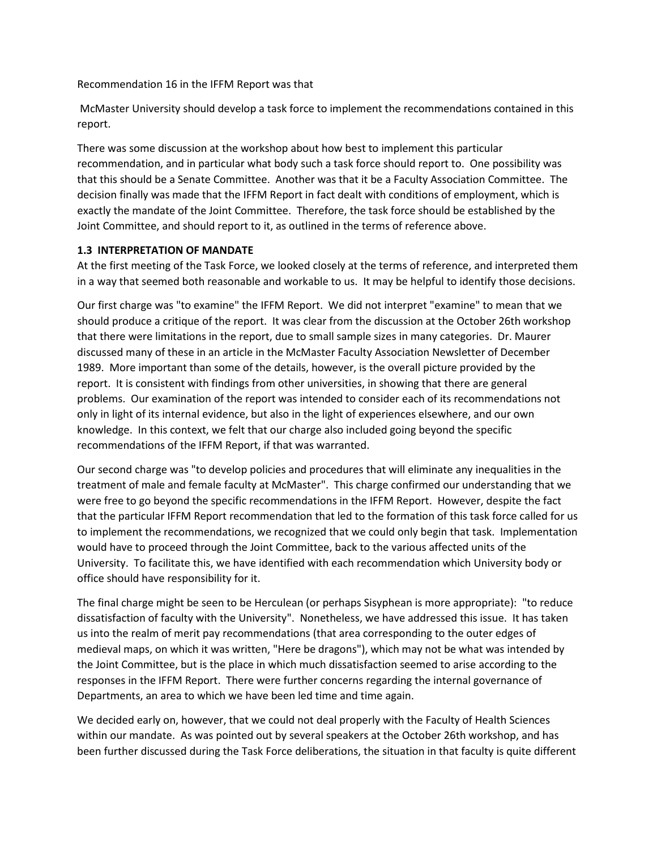Recommendation 16 in the IFFM Report was that

McMaster University should develop a task force to implement the recommendations contained in this report.

There was some discussion at the workshop about how best to implement this particular recommendation, and in particular what body such a task force should report to. One possibility was that this should be a Senate Committee. Another was that it be a Faculty Association Committee. The decision finally was made that the IFFM Report in fact dealt with conditions of employment, which is exactly the mandate of the Joint Committee. Therefore, the task force should be established by the Joint Committee, and should report to it, as outlined in the terms of reference above.

#### **1.3 INTERPRETATION OF MANDATE**

At the first meeting of the Task Force, we looked closely at the terms of reference, and interpreted them in a way that seemed both reasonable and workable to us. It may be helpful to identify those decisions.

Our first charge was "to examine" the IFFM Report. We did not interpret "examine" to mean that we should produce a critique of the report. It was clear from the discussion at the October 26th workshop that there were limitations in the report, due to small sample sizes in many categories. Dr. Maurer discussed many of these in an article in the McMaster Faculty Association Newsletter of December 1989. More important than some of the details, however, is the overall picture provided by the report. It is consistent with findings from other universities, in showing that there are general problems. Our examination of the report was intended to consider each of its recommendations not only in light of its internal evidence, but also in the light of experiences elsewhere, and our own knowledge. In this context, we felt that our charge also included going beyond the specific recommendations of the IFFM Report, if that was warranted.

Our second charge was "to develop policies and procedures that will eliminate any inequalities in the treatment of male and female faculty at McMaster". This charge confirmed our understanding that we were free to go beyond the specific recommendations in the IFFM Report. However, despite the fact that the particular IFFM Report recommendation that led to the formation of this task force called for us to implement the recommendations, we recognized that we could only begin that task. Implementation would have to proceed through the Joint Committee, back to the various affected units of the University. To facilitate this, we have identified with each recommendation which University body or office should have responsibility for it.

The final charge might be seen to be Herculean (or perhaps Sisyphean is more appropriate): "to reduce dissatisfaction of faculty with the University". Nonetheless, we have addressed this issue. It has taken us into the realm of merit pay recommendations (that area corresponding to the outer edges of medieval maps, on which it was written, "Here be dragons"), which may not be what was intended by the Joint Committee, but is the place in which much dissatisfaction seemed to arise according to the responses in the IFFM Report. There were further concerns regarding the internal governance of Departments, an area to which we have been led time and time again.

We decided early on, however, that we could not deal properly with the Faculty of Health Sciences within our mandate. As was pointed out by several speakers at the October 26th workshop, and has been further discussed during the Task Force deliberations, the situation in that faculty is quite different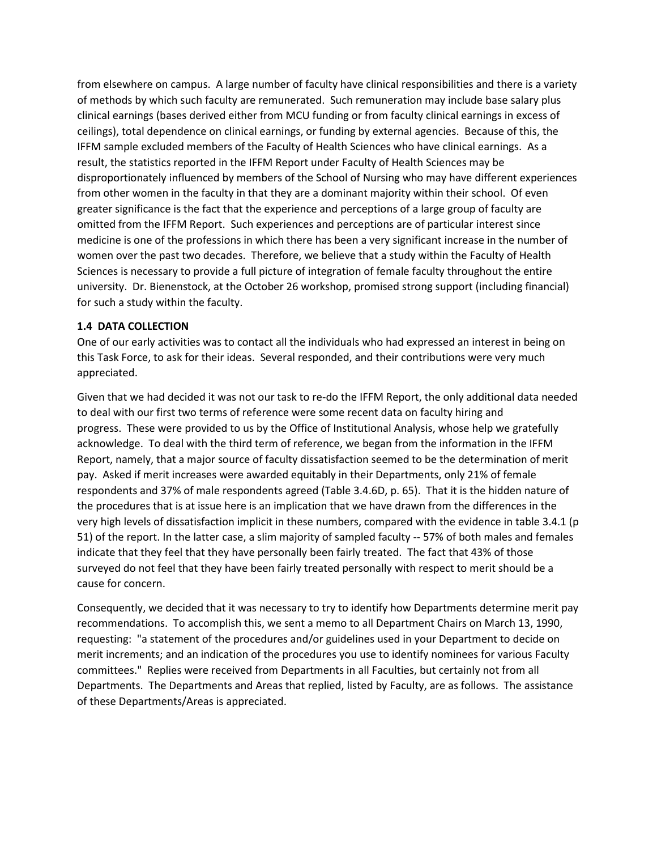from elsewhere on campus. A large number of faculty have clinical responsibilities and there is a variety of methods by which such faculty are remunerated. Such remuneration may include base salary plus clinical earnings (bases derived either from MCU funding or from faculty clinical earnings in excess of ceilings), total dependence on clinical earnings, or funding by external agencies. Because of this, the IFFM sample excluded members of the Faculty of Health Sciences who have clinical earnings. As a result, the statistics reported in the IFFM Report under Faculty of Health Sciences may be disproportionately influenced by members of the School of Nursing who may have different experiences from other women in the faculty in that they are a dominant majority within their school. Of even greater significance is the fact that the experience and perceptions of a large group of faculty are omitted from the IFFM Report. Such experiences and perceptions are of particular interest since medicine is one of the professions in which there has been a very significant increase in the number of women over the past two decades. Therefore, we believe that a study within the Faculty of Health Sciences is necessary to provide a full picture of integration of female faculty throughout the entire university. Dr. Bienenstock, at the October 26 workshop, promised strong support (including financial) for such a study within the faculty.

#### **1.4 DATA COLLECTION**

One of our early activities was to contact all the individuals who had expressed an interest in being on this Task Force, to ask for their ideas. Several responded, and their contributions were very much appreciated.

Given that we had decided it was not our task to re-do the IFFM Report, the only additional data needed to deal with our first two terms of reference were some recent data on faculty hiring and progress. These were provided to us by the Office of Institutional Analysis, whose help we gratefully acknowledge. To deal with the third term of reference, we began from the information in the IFFM Report, namely, that a major source of faculty dissatisfaction seemed to be the determination of merit pay. Asked if merit increases were awarded equitably in their Departments, only 21% of female respondents and 37% of male respondents agreed (Table 3.4.6D, p. 65). That it is the hidden nature of the procedures that is at issue here is an implication that we have drawn from the differences in the very high levels of dissatisfaction implicit in these numbers, compared with the evidence in table 3.4.1 (p 51) of the report. In the latter case, a slim majority of sampled faculty -- 57% of both males and females indicate that they feel that they have personally been fairly treated. The fact that 43% of those surveyed do not feel that they have been fairly treated personally with respect to merit should be a cause for concern.

Consequently, we decided that it was necessary to try to identify how Departments determine merit pay recommendations. To accomplish this, we sent a memo to all Department Chairs on March 13, 1990, requesting: "a statement of the procedures and/or guidelines used in your Department to decide on merit increments; and an indication of the procedures you use to identify nominees for various Faculty committees." Replies were received from Departments in all Faculties, but certainly not from all Departments. The Departments and Areas that replied, listed by Faculty, are as follows. The assistance of these Departments/Areas is appreciated.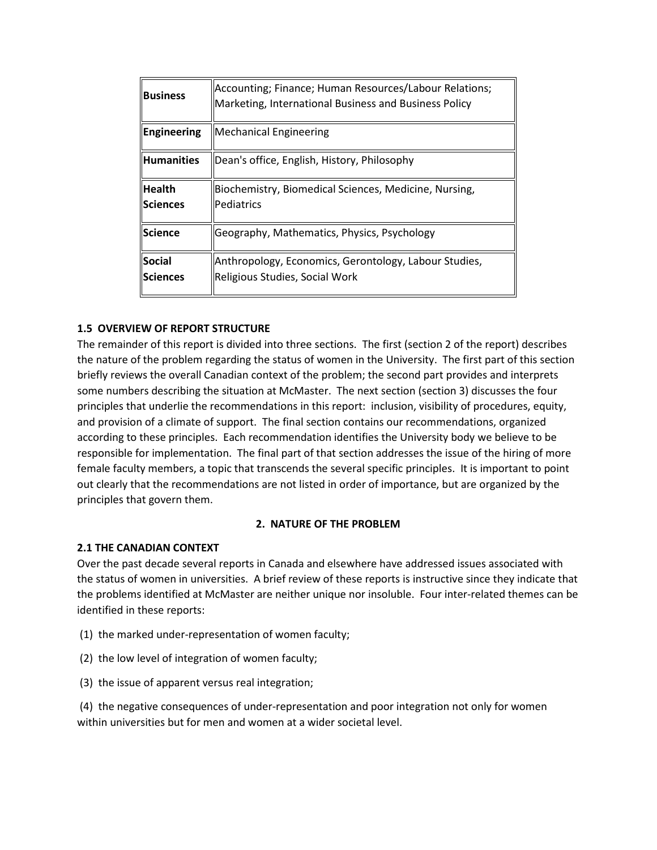| <b>Business</b>                  | Accounting; Finance; Human Resources/Labour Relations;<br>Marketing, International Business and Business Policy |
|----------------------------------|-----------------------------------------------------------------------------------------------------------------|
| Engineering                      | <b>Mechanical Engineering</b>                                                                                   |
| <b>Humanities</b>                | Dean's office, English, History, Philosophy                                                                     |
| <b>Health</b><br><b>Sciences</b> | Biochemistry, Biomedical Sciences, Medicine, Nursing,<br>Pediatrics                                             |
| <b>Science</b>                   | Geography, Mathematics, Physics, Psychology                                                                     |
| Social<br><b>Sciences</b>        | Anthropology, Economics, Gerontology, Labour Studies,<br>Religious Studies, Social Work                         |

## **1.5 OVERVIEW OF REPORT STRUCTURE**

The remainder of this report is divided into three sections. The first (section 2 of the report) describes the nature of the problem regarding the status of women in the University. The first part of this section briefly reviews the overall Canadian context of the problem; the second part provides and interprets some numbers describing the situation at McMaster. The next section (section 3) discusses the four principles that underlie the recommendations in this report: inclusion, visibility of procedures, equity, and provision of a climate of support. The final section contains our recommendations, organized according to these principles. Each recommendation identifies the University body we believe to be responsible for implementation. The final part of that section addresses the issue of the hiring of more female faculty members, a topic that transcends the several specific principles. It is important to point out clearly that the recommendations are not listed in order of importance, but are organized by the principles that govern them.

#### **2. NATURE OF THE PROBLEM**

#### **2.1 THE CANADIAN CONTEXT**

Over the past decade several reports in Canada and elsewhere have addressed issues associated with the status of women in universities. A brief review of these reports is instructive since they indicate that the problems identified at McMaster are neither unique nor insoluble. Four inter-related themes can be identified in these reports:

- (1) the marked under-representation of women faculty;
- (2) the low level of integration of women faculty;
- (3) the issue of apparent versus real integration;

(4) the negative consequences of under-representation and poor integration not only for women within universities but for men and women at a wider societal level.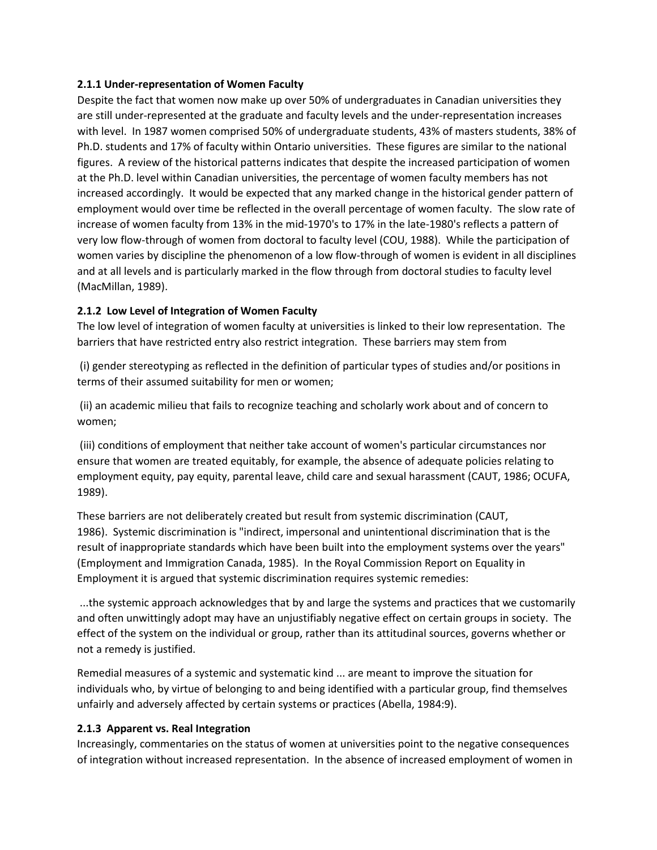#### **2.1.1 Under-representation of Women Faculty**

Despite the fact that women now make up over 50% of undergraduates in Canadian universities they are still under-represented at the graduate and faculty levels and the under-representation increases with level. In 1987 women comprised 50% of undergraduate students, 43% of masters students, 38% of Ph.D. students and 17% of faculty within Ontario universities. These figures are similar to the national figures. A review of the historical patterns indicates that despite the increased participation of women at the Ph.D. level within Canadian universities, the percentage of women faculty members has not increased accordingly. It would be expected that any marked change in the historical gender pattern of employment would over time be reflected in the overall percentage of women faculty. The slow rate of increase of women faculty from 13% in the mid-1970's to 17% in the late-1980's reflects a pattern of very low flow-through of women from doctoral to faculty level (COU, 1988). While the participation of women varies by discipline the phenomenon of a low flow-through of women is evident in all disciplines and at all levels and is particularly marked in the flow through from doctoral studies to faculty level (MacMillan, 1989).

## **2.1.2 Low Level of Integration of Women Faculty**

The low level of integration of women faculty at universities is linked to their low representation. The barriers that have restricted entry also restrict integration. These barriers may stem from

(i) gender stereotyping as reflected in the definition of particular types of studies and/or positions in terms of their assumed suitability for men or women;

(ii) an academic milieu that fails to recognize teaching and scholarly work about and of concern to women;

(iii) conditions of employment that neither take account of women's particular circumstances nor ensure that women are treated equitably, for example, the absence of adequate policies relating to employment equity, pay equity, parental leave, child care and sexual harassment (CAUT, 1986; OCUFA, 1989).

These barriers are not deliberately created but result from systemic discrimination (CAUT, 1986). Systemic discrimination is "indirect, impersonal and unintentional discrimination that is the result of inappropriate standards which have been built into the employment systems over the years" (Employment and Immigration Canada, 1985). In the Royal Commission Report on Equality in Employment it is argued that systemic discrimination requires systemic remedies:

...the systemic approach acknowledges that by and large the systems and practices that we customarily and often unwittingly adopt may have an unjustifiably negative effect on certain groups in society. The effect of the system on the individual or group, rather than its attitudinal sources, governs whether or not a remedy is justified.

Remedial measures of a systemic and systematic kind ... are meant to improve the situation for individuals who, by virtue of belonging to and being identified with a particular group, find themselves unfairly and adversely affected by certain systems or practices (Abella, 1984:9).

#### **2.1.3 Apparent vs. Real Integration**

Increasingly, commentaries on the status of women at universities point to the negative consequences of integration without increased representation. In the absence of increased employment of women in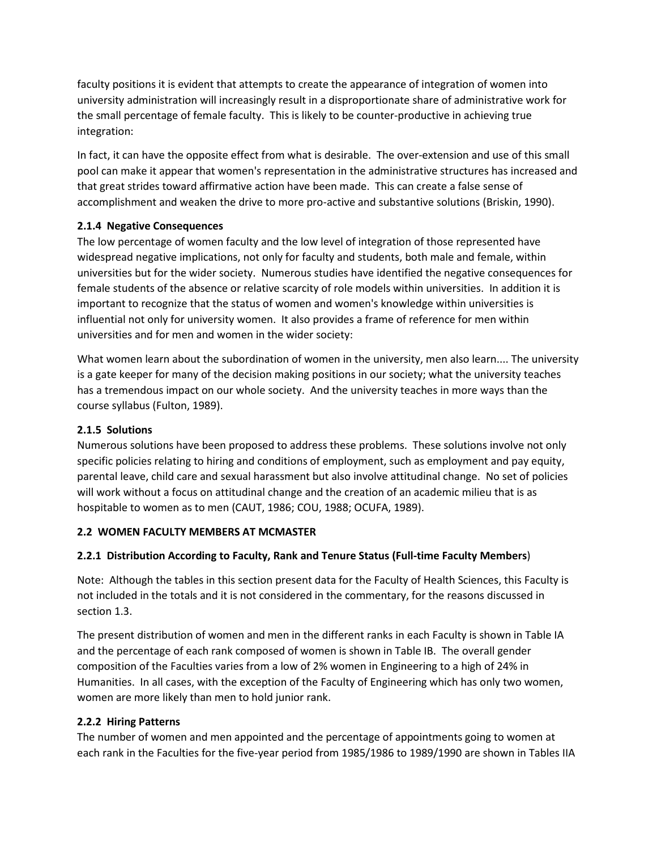faculty positions it is evident that attempts to create the appearance of integration of women into university administration will increasingly result in a disproportionate share of administrative work for the small percentage of female faculty. This is likely to be counter-productive in achieving true integration:

In fact, it can have the opposite effect from what is desirable. The over-extension and use of this small pool can make it appear that women's representation in the administrative structures has increased and that great strides toward affirmative action have been made. This can create a false sense of accomplishment and weaken the drive to more pro-active and substantive solutions (Briskin, 1990).

## **2.1.4 Negative Consequences**

The low percentage of women faculty and the low level of integration of those represented have widespread negative implications, not only for faculty and students, both male and female, within universities but for the wider society. Numerous studies have identified the negative consequences for female students of the absence or relative scarcity of role models within universities. In addition it is important to recognize that the status of women and women's knowledge within universities is influential not only for university women. It also provides a frame of reference for men within universities and for men and women in the wider society:

What women learn about the subordination of women in the university, men also learn.... The university is a gate keeper for many of the decision making positions in our society; what the university teaches has a tremendous impact on our whole society. And the university teaches in more ways than the course syllabus (Fulton, 1989).

## **2.1.5 Solutions**

Numerous solutions have been proposed to address these problems. These solutions involve not only specific policies relating to hiring and conditions of employment, such as employment and pay equity, parental leave, child care and sexual harassment but also involve attitudinal change. No set of policies will work without a focus on attitudinal change and the creation of an academic milieu that is as hospitable to women as to men (CAUT, 1986; COU, 1988; OCUFA, 1989).

## **2.2 WOMEN FACULTY MEMBERS AT MCMASTER**

## **2.2.1 Distribution According to Faculty, Rank and Tenure Status (Full-time Faculty Members**)

Note: Although the tables in this section present data for the Faculty of Health Sciences, this Faculty is not included in the totals and it is not considered in the commentary, for the reasons discussed in section 1.3.

The present distribution of women and men in the different ranks in each Faculty is shown in Table IA and the percentage of each rank composed of women is shown in Table IB. The overall gender composition of the Faculties varies from a low of 2% women in Engineering to a high of 24% in Humanities. In all cases, with the exception of the Faculty of Engineering which has only two women, women are more likely than men to hold junior rank.

## **2.2.2 Hiring Patterns**

The number of women and men appointed and the percentage of appointments going to women at each rank in the Faculties for the five-year period from 1985/1986 to 1989/1990 are shown in Tables IIA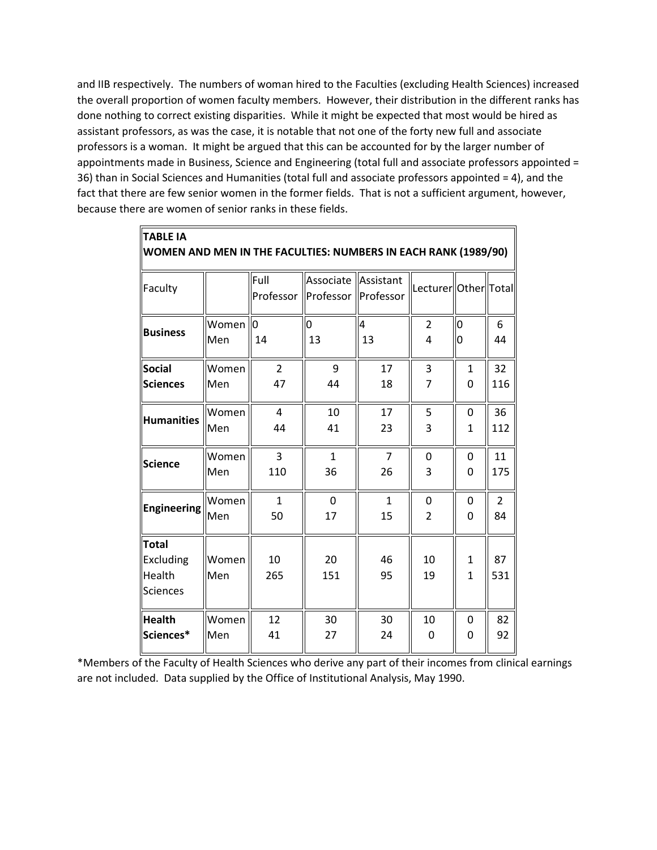and IIB respectively. The numbers of woman hired to the Faculties (excluding Health Sciences) increased the overall proportion of women faculty members. However, their distribution in the different ranks has done nothing to correct existing disparities. While it might be expected that most would be hired as assistant professors, as was the case, it is notable that not one of the forty new full and associate professors is a woman. It might be argued that this can be accounted for by the larger number of appointments made in Business, Science and Engineering (total full and associate professors appointed = 36) than in Social Sciences and Humanities (total full and associate professors appointed = 4), and the fact that there are few senior women in the former fields. That is not a sufficient argument, however, because there are women of senior ranks in these fields.

**TABLE IA**

|                                                               | WOMEN AND MEN IN THE FACULTIES: NUMBERS IN EACH RANK (1989/90) |                   |                                                |                |                        |                     |                |  |  |  |
|---------------------------------------------------------------|----------------------------------------------------------------|-------------------|------------------------------------------------|----------------|------------------------|---------------------|----------------|--|--|--|
| Faculty                                                       |                                                                | Full<br>Professor | Associate   Assistant<br>Professor   Professor |                | Lecturer  Other  Total |                     |                |  |  |  |
| <b>Business</b>                                               | Women                                                          | ll0               | O                                              | $\overline{A}$ | $\overline{2}$         | $\overline{0}$      | 6              |  |  |  |
|                                                               | Men                                                            | 14                | 13                                             | 13             | 4                      | 0                   | 44             |  |  |  |
| <b>Social</b>                                                 | Women                                                          | $\overline{2}$    | 9                                              | 17             | 3                      | $\mathbf{1}$        | 32             |  |  |  |
| <b>Sciences</b>                                               | Men                                                            | 47                | 44                                             | 18             | $\overline{7}$         | 0                   | 116            |  |  |  |
| <b>Humanities</b>                                             | Women                                                          | $\overline{4}$    | 10                                             | 17             | 5                      | 0                   | 36             |  |  |  |
|                                                               | Men                                                            | 44                | 41                                             | 23             | 3                      | 1                   | 112            |  |  |  |
| Science                                                       | Women                                                          | 3                 | $\mathbf{1}$                                   | $\overline{7}$ | $\mathbf 0$            | $\mathbf 0$         | 11             |  |  |  |
|                                                               | Men                                                            | 110               | 36                                             | 26             | 3                      | 0                   | 175            |  |  |  |
| <b>Engineering</b>                                            | Women                                                          | 1                 | 0                                              | $\mathbf{1}$   | 0                      | 0                   | $\overline{2}$ |  |  |  |
|                                                               | Men                                                            | 50                | 17                                             | 15             | $\overline{2}$         | 0                   | 84             |  |  |  |
| Total<br><b>Excluding</b><br><b>Health</b><br><b>Sciences</b> | Women<br>Men                                                   | 10<br>265         | 20<br>151                                      | 46<br>95       | 10<br>19               | 1<br>$\overline{1}$ | 87<br>531      |  |  |  |
| <b>Health</b>                                                 | Women                                                          | 12                | 30                                             | 30             | 10                     | 0                   | 82             |  |  |  |
| Sciences*                                                     | Men                                                            | 41                | 27                                             | 24             | 0                      | $\mathbf 0$         | 92             |  |  |  |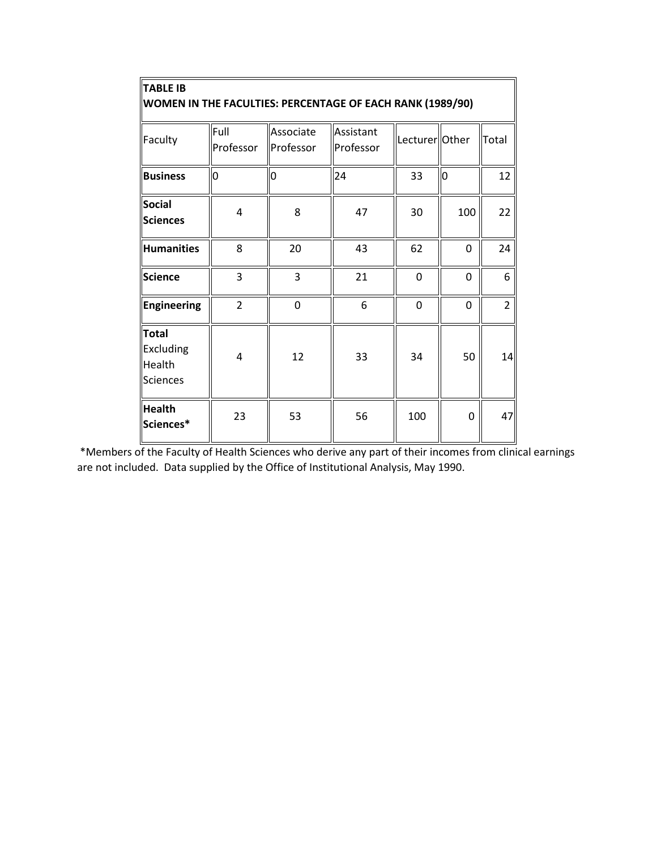| <b>TABLE IB</b><br>WOMEN IN THE FACULTIES: PERCENTAGE OF EACH RANK (1989/90) |                   |                        |                        |                |          |                |  |  |  |
|------------------------------------------------------------------------------|-------------------|------------------------|------------------------|----------------|----------|----------------|--|--|--|
| Faculty                                                                      | Full<br>Professor | Associate<br>Professor | Assistant<br>Professor | Lecturer Other |          | Total          |  |  |  |
| <b>Business</b>                                                              | l0                | 0                      | 24                     | 33             | O        | 12             |  |  |  |
| <b>Social</b><br><b>Sciences</b>                                             | $\overline{4}$    | 8                      | 47                     | 30             | 100      | 22             |  |  |  |
| Humanities                                                                   | 8                 | 20                     | 43                     | 62             | 0        | 24             |  |  |  |
| <b>Science</b>                                                               | 3                 | 3                      | 21                     | 0              | 0        | 6              |  |  |  |
| Engineering                                                                  | $\overline{2}$    | $\mathbf 0$            | 6                      | 0              | $\Omega$ | $\overline{2}$ |  |  |  |
| <b>Total</b><br>Excluding<br><b>Health</b><br><b>Sciences</b>                | $\overline{4}$    | 12                     | 33                     | 34             | 50       | 14             |  |  |  |
| <b>Health</b><br>Sciences*                                                   | 23                | 53                     | 56                     | 100            | 0        | 47             |  |  |  |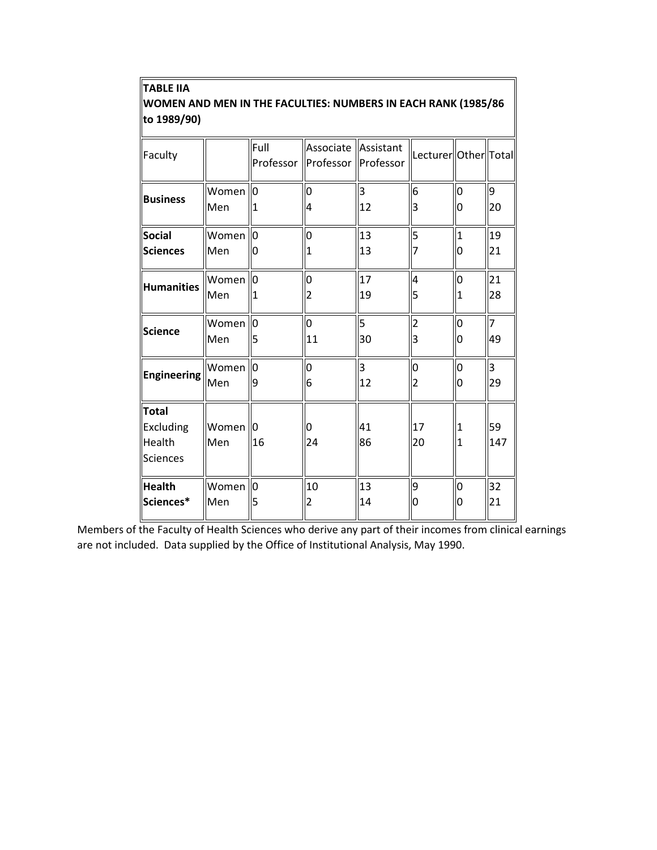| <b>TABLE IIA</b>                                               |
|----------------------------------------------------------------|
| WOMEN AND MEN IN THE FACULTIES: NUMBERS IN EACH RANK (1985/86) |
| to 1989/90)                                                    |

| Faculty                                                |                            | Full           | Associate Assistant<br>Professor   Professor   Professor |                | Lecturer  Other  Total |                     |                |
|--------------------------------------------------------|----------------------------|----------------|----------------------------------------------------------|----------------|------------------------|---------------------|----------------|
| <b>Business</b>                                        | Women                      | lo             | 0                                                        | 3              | 6                      | 0                   | 9              |
|                                                        | Men                        | 1              | 4                                                        | 12             | 3                      | 0                   | 20             |
| <b>Social</b><br>Sciences                              | Women<br>Men               | lо<br>10       | $\overline{0}$                                           | 13<br>13       | 5                      | $\mathbf{1}$<br>0   | 19<br>21       |
| <b>Humanities</b>                                      | Women<br>Men               | $\overline{0}$ | $\overline{0}$<br>2                                      | 17<br>19       | 4<br>5                 | O<br>1              | 21<br>28       |
| <b>Science</b>                                         | Women                      | Ю              | $\overline{0}$                                           | $\overline{5}$ | 2                      | $\overline{0}$      | $\overline{7}$ |
|                                                        | Men                        | 5              | 11                                                       | 30             | 3                      | 0                   | 49             |
| <b>Engineering</b>                                     | Women                      | lo             | $\overline{0}$                                           | $\overline{3}$ | lо                     | $\overline{0}$      | 3              |
|                                                        | Men                        | 9              | 6                                                        | 12             | $\overline{2}$         | 0                   | 29             |
| Total<br>Excluding<br><b>Health</b><br><b>Sciences</b> | Women <sup>10</sup><br>Men | 16             | 0<br>24                                                  | 41<br>86       | 17<br>20               | 1<br>$\overline{1}$ | 59<br>147      |
| <b>Health</b>                                          | Women                      | $\overline{0}$ | 10                                                       | 13             | 9                      | 0                   | 32             |
| Sciences*                                              | Men                        | l5             |                                                          | 14             | O                      | 0                   | 21             |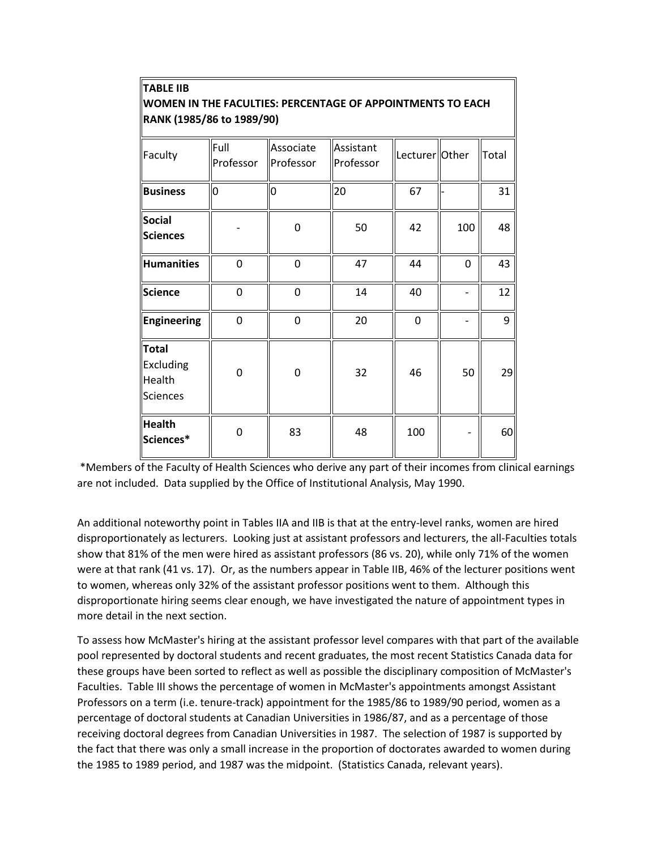| WOMEN IN THE FACULTIES: PERCENTAGE OF APPOINTMENTS TO EACH<br>RANK (1985/86 to 1989/90) |                   |                        |                        |                |          |       |  |  |  |
|-----------------------------------------------------------------------------------------|-------------------|------------------------|------------------------|----------------|----------|-------|--|--|--|
| Faculty                                                                                 | Full<br>Professor | Associate<br>Professor | Assistant<br>Professor | Lecturer Other |          | Total |  |  |  |
| <b>Business</b>                                                                         | $\overline{0}$    | 0                      | 20                     | 67             |          | 31    |  |  |  |
| <b>Social</b><br><b>Sciences</b>                                                        |                   | 0                      | 50                     | 42             | 100      | 48    |  |  |  |
| <b>Humanities</b>                                                                       | $\overline{0}$    | $\overline{0}$         | 47                     | 44             | $\Omega$ | 43    |  |  |  |
| <b>Science</b>                                                                          | $\overline{0}$    | $\overline{0}$         | 14                     | 40             |          | 12    |  |  |  |
| <b>Engineering</b>                                                                      | $\overline{0}$    | $\overline{0}$         | 20                     | $\Omega$       |          | 9     |  |  |  |
| Total<br>Excluding<br><b>Health</b><br>Sciences                                         | 0                 | 0                      | 32                     | 46             | 50       | 29    |  |  |  |
| <b>Health</b><br>Sciences*                                                              | 0                 | 83                     | 48                     | 100            |          | 60    |  |  |  |

**TABLE IIB**

# \*Members of the Faculty of Health Sciences who derive any part of their incomes from clinical earnings are not included. Data supplied by the Office of Institutional Analysis, May 1990.

An additional noteworthy point in Tables IIA and IIB is that at the entry-level ranks, women are hired disproportionately as lecturers. Looking just at assistant professors and lecturers, the all-Faculties totals show that 81% of the men were hired as assistant professors (86 vs. 20), while only 71% of the women were at that rank (41 vs. 17). Or, as the numbers appear in Table IIB, 46% of the lecturer positions went to women, whereas only 32% of the assistant professor positions went to them. Although this disproportionate hiring seems clear enough, we have investigated the nature of appointment types in more detail in the next section.

To assess how McMaster's hiring at the assistant professor level compares with that part of the available pool represented by doctoral students and recent graduates, the most recent Statistics Canada data for these groups have been sorted to reflect as well as possible the disciplinary composition of McMaster's Faculties. Table III shows the percentage of women in McMaster's appointments amongst Assistant Professors on a term (i.e. tenure-track) appointment for the 1985/86 to 1989/90 period, women as a percentage of doctoral students at Canadian Universities in 1986/87, and as a percentage of those receiving doctoral degrees from Canadian Universities in 1987. The selection of 1987 is supported by the fact that there was only a small increase in the proportion of doctorates awarded to women during the 1985 to 1989 period, and 1987 was the midpoint. (Statistics Canada, relevant years).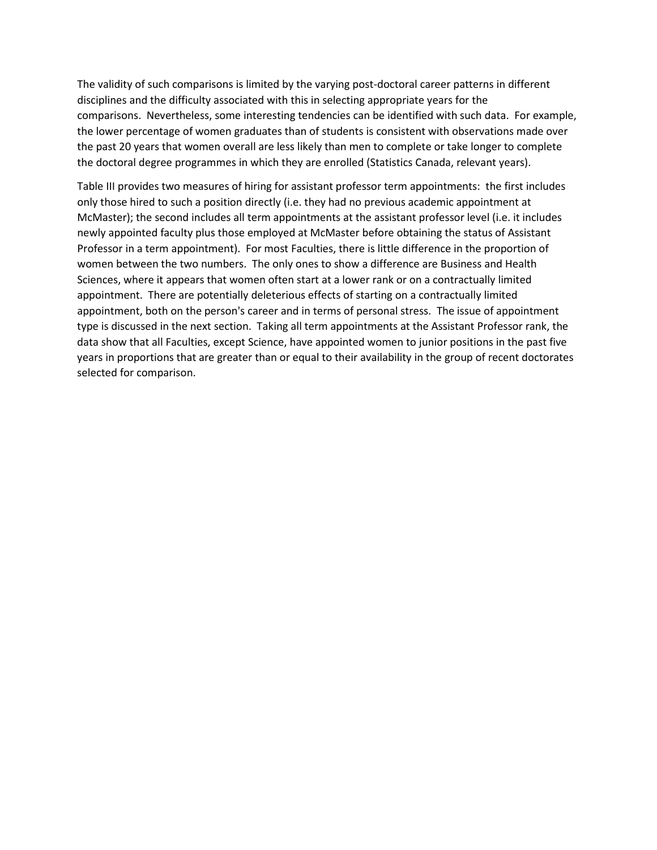The validity of such comparisons is limited by the varying post-doctoral career patterns in different disciplines and the difficulty associated with this in selecting appropriate years for the comparisons. Nevertheless, some interesting tendencies can be identified with such data. For example, the lower percentage of women graduates than of students is consistent with observations made over the past 20 years that women overall are less likely than men to complete or take longer to complete the doctoral degree programmes in which they are enrolled (Statistics Canada, relevant years).

Table III provides two measures of hiring for assistant professor term appointments: the first includes only those hired to such a position directly (i.e. they had no previous academic appointment at McMaster); the second includes all term appointments at the assistant professor level (i.e. it includes newly appointed faculty plus those employed at McMaster before obtaining the status of Assistant Professor in a term appointment). For most Faculties, there is little difference in the proportion of women between the two numbers. The only ones to show a difference are Business and Health Sciences, where it appears that women often start at a lower rank or on a contractually limited appointment. There are potentially deleterious effects of starting on a contractually limited appointment, both on the person's career and in terms of personal stress. The issue of appointment type is discussed in the next section. Taking all term appointments at the Assistant Professor rank, the data show that all Faculties, except Science, have appointed women to junior positions in the past five years in proportions that are greater than or equal to their availability in the group of recent doctorates selected for comparison.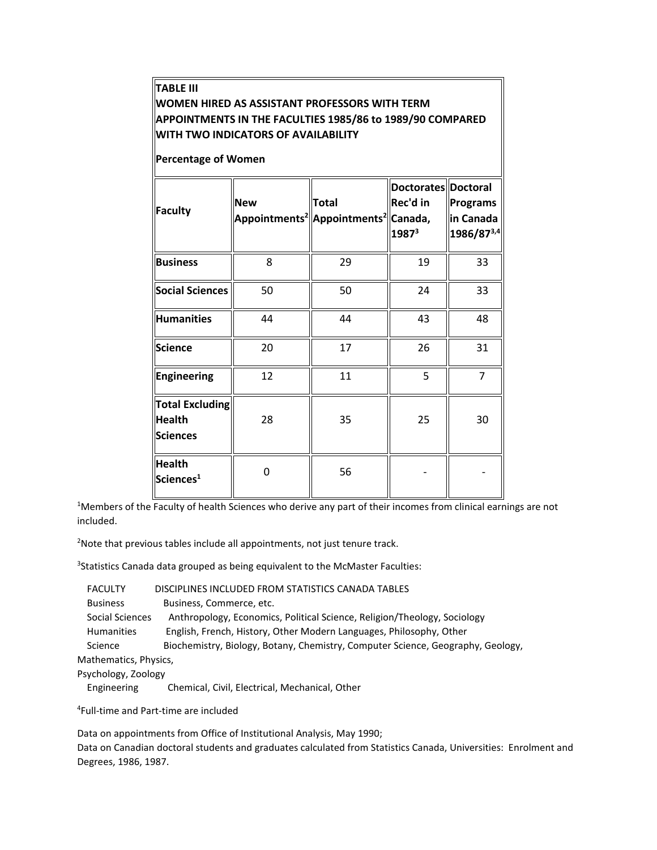| TABLE III<br>WOMEN HIRED AS ASSISTANT PROFESSORS WITH TERM<br>APPOINTMENTS IN THE FACULTIES 1985/86 to 1989/90 COMPARED<br><b>WITH TWO INDICATORS OF AVAILABILITY</b><br><b>Percentage of Women</b><br>Doctorates Doctoral |            |                                                                                 |                                      |                                     |  |  |  |  |  |
|----------------------------------------------------------------------------------------------------------------------------------------------------------------------------------------------------------------------------|------------|---------------------------------------------------------------------------------|--------------------------------------|-------------------------------------|--|--|--|--|--|
| Faculty                                                                                                                                                                                                                    | <b>New</b> | <b>Total</b><br>Appointments <sup>2</sup>   Appointments <sup>2</sup>   Canada, | <b>Rec'd in</b><br>1987 <sup>3</sup> | Programs<br>in Canada<br>1986/873,4 |  |  |  |  |  |
| <b>Business</b>                                                                                                                                                                                                            | 8          | 29                                                                              | 19                                   | 33                                  |  |  |  |  |  |
| <b>Social Sciences</b>                                                                                                                                                                                                     | 50         | 50                                                                              | 24                                   | 33                                  |  |  |  |  |  |
| <b>Humanities</b>                                                                                                                                                                                                          | 44         | 44                                                                              | 43                                   | 48                                  |  |  |  |  |  |
| <b>Science</b>                                                                                                                                                                                                             | 20         | 17                                                                              | 26                                   | 31                                  |  |  |  |  |  |
| Engineering                                                                                                                                                                                                                | 12         | 11                                                                              | 5                                    | 7                                   |  |  |  |  |  |
| <b>Total Excluding</b><br>Health<br><b>Sciences</b>                                                                                                                                                                        | 28         | 35                                                                              | 25                                   | 30                                  |  |  |  |  |  |
| <b>Health</b><br>Sciences <sup>1</sup>                                                                                                                                                                                     | 0          | 56                                                                              |                                      |                                     |  |  |  |  |  |

<sup>1</sup>Members of the Faculty of health Sciences who derive any part of their incomes from clinical earnings are not included.

<sup>2</sup>Note that previous tables include all appointments, not just tenure track.

<sup>3</sup>Statistics Canada data grouped as being equivalent to the McMaster Faculties:

| <b>FACULTY</b>        | DISCIPLINES INCLUDED FROM STATISTICS CANADA TABLES                              |
|-----------------------|---------------------------------------------------------------------------------|
| <b>Business</b>       | Business, Commerce, etc.                                                        |
| Social Sciences       | Anthropology, Economics, Political Science, Religion/Theology, Sociology        |
| <b>Humanities</b>     | English, French, History, Other Modern Languages, Philosophy, Other             |
| Science               | Biochemistry, Biology, Botany, Chemistry, Computer Science, Geography, Geology, |
| Mathematics, Physics, |                                                                                 |
|                       |                                                                                 |

Psychology, Zoology

Engineering Chemical, Civil, Electrical, Mechanical, Other

4 Full-time and Part-time are included

Data on appointments from Office of Institutional Analysis, May 1990; Data on Canadian doctoral students and graduates calculated from Statistics Canada, Universities: Enrolment and Degrees, 1986, 1987.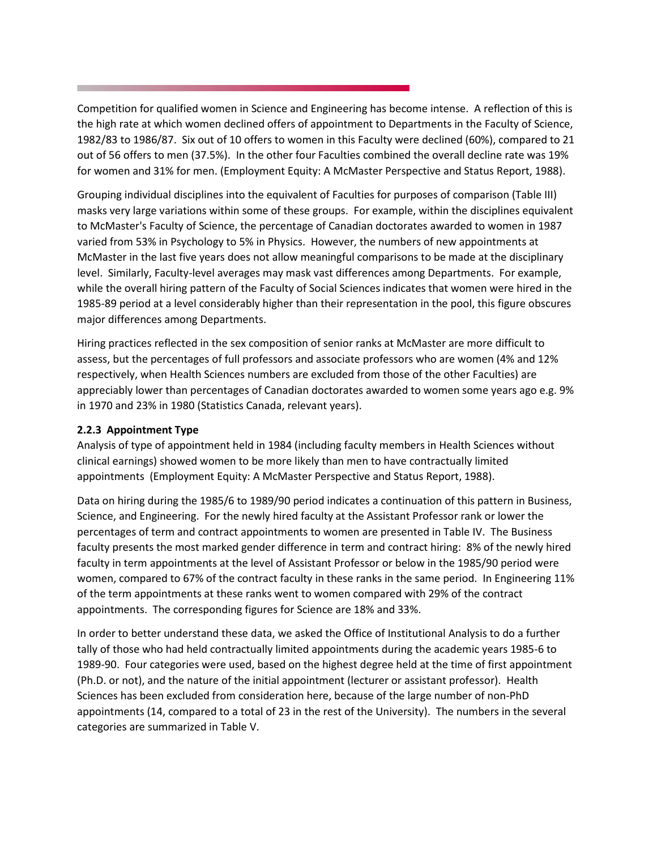Competition for qualified women in Science and Engineering has become intense. A reflection of this is the high rate at which women declined offers of appointment to Departments in the Faculty of Science, 1982/83 to 1986/87. Six out of 10 offers to women in this Faculty were declined (60%), compared to 21 out of 56 offers to men (37.5%). In the other four Faculties combined the overall decline rate was 19% for women and 31% for men. (Employment Equity: A McMaster Perspective and Status Report, 1988).

Grouping individual disciplines into the equivalent of Faculties for purposes of comparison (Table III) masks very large variations within some of these groups. For example, within the disciplines equivalent to McMaster's Faculty of Science, the percentage of Canadian doctorates awarded to women in 1987 varied from 53% in Psychology to 5% in Physics. However, the numbers of new appointments at McMaster in the last five years does not allow meaningful comparisons to be made at the disciplinary level. Similarly, Faculty-level averages may mask vast differences among Departments. For example, while the overall hiring pattern of the Faculty of Social Sciences indicates that women were hired in the 1985-89 period at a level considerably higher than their representation in the pool, this figure obscures major differences among Departments.

Hiring practices reflected in the sex composition of senior ranks at McMaster are more difficult to assess, but the percentages of full professors and associate professors who are women (4% and 12% respectively, when Health Sciences numbers are excluded from those of the other Faculties) are appreciably lower than percentages of Canadian doctorates awarded to women some years ago e.g. 9% in 1970 and 23% in 1980 (Statistics Canada, relevant years).

## **2.2.3 Appointment Type**

Analysis of type of appointment held in 1984 (including faculty members in Health Sciences without clinical earnings) showed women to be more likely than men to have contractually limited appointments (Employment Equity: A McMaster Perspective and Status Report, 1988).

Data on hiring during the 1985/6 to 1989/90 period indicates a continuation of this pattern in Business, Science, and Engineering. For the newly hired faculty at the Assistant Professor rank or lower the percentages of term and contract appointments to women are presented in Table IV. The Business faculty presents the most marked gender difference in term and contract hiring: 8% of the newly hired faculty in term appointments at the level of Assistant Professor or below in the 1985/90 period were women, compared to 67% of the contract faculty in these ranks in the same period. In Engineering 11% of the term appointments at these ranks went to women compared with 29% of the contract appointments. The corresponding figures for Science are 18% and 33%.

In order to better understand these data, we asked the Office of Institutional Analysis to do a further tally of those who had held contractually limited appointments during the academic years 1985-6 to 1989-90. Four categories were used, based on the highest degree held at the time of first appointment (Ph.D. or not), and the nature of the initial appointment (lecturer or assistant professor). Health Sciences has been excluded from consideration here, because of the large number of non-PhD appointments (14, compared to a total of 23 in the rest of the University). The numbers in the several categories are summarized in Table V.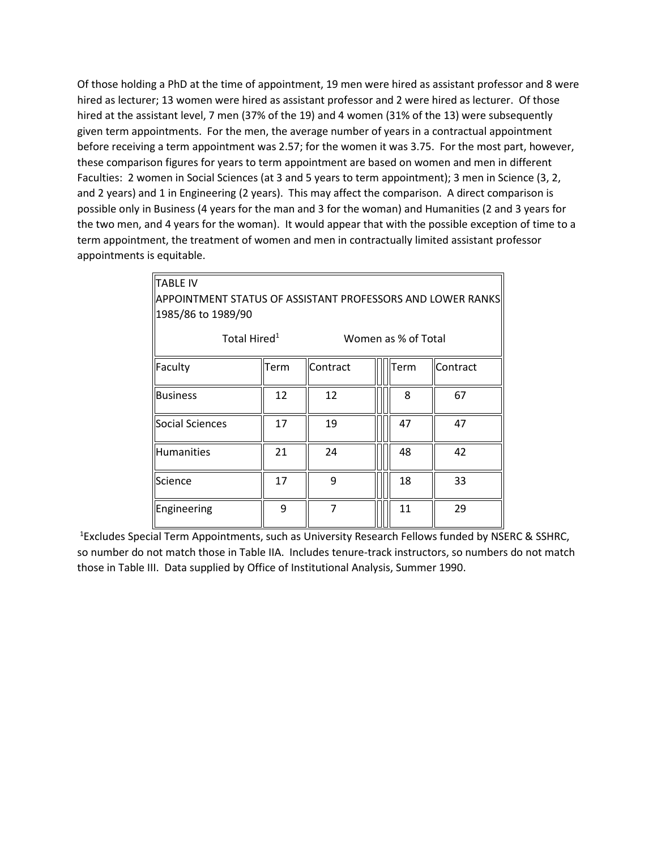Of those holding a PhD at the time of appointment, 19 men were hired as assistant professor and 8 were hired as lecturer; 13 women were hired as assistant professor and 2 were hired as lecturer. Of those hired at the assistant level, 7 men (37% of the 19) and 4 women (31% of the 13) were subsequently given term appointments. For the men, the average number of years in a contractual appointment before receiving a term appointment was 2.57; for the women it was 3.75. For the most part, however, these comparison figures for years to term appointment are based on women and men in different Faculties: 2 women in Social Sciences (at 3 and 5 years to term appointment); 3 men in Science (3, 2, and 2 years) and 1 in Engineering (2 years). This may affect the comparison. A direct comparison is possible only in Business (4 years for the man and 3 for the woman) and Humanities (2 and 3 years for the two men, and 4 years for the woman). It would appear that with the possible exception of time to a term appointment, the treatment of women and men in contractually limited assistant professor appointments is equitable.

| <b>TABLE IV</b>                                            |      |          |  |                     |          |  |  |  |  |
|------------------------------------------------------------|------|----------|--|---------------------|----------|--|--|--|--|
| APPOINTMENT STATUS OF ASSISTANT PROFESSORS AND LOWER RANKS |      |          |  |                     |          |  |  |  |  |
| 1985/86 to 1989/90                                         |      |          |  |                     |          |  |  |  |  |
| Total Hired <sup>1</sup>                                   |      |          |  | Women as % of Total |          |  |  |  |  |
| Faculty                                                    | Term | Contract |  | Term                | Contract |  |  |  |  |
| <b>Business</b>                                            | 12   | 12       |  | 8                   | 67       |  |  |  |  |
| Social Sciences                                            | 17   | 19       |  | 47                  | 47       |  |  |  |  |
| Humanities                                                 | 21   | 24       |  | 48                  | 42       |  |  |  |  |
| Science                                                    | 17   | 9        |  | 18                  | 33       |  |  |  |  |
| Engineering                                                | 9    | 7        |  | 11                  | 29       |  |  |  |  |

<sup>1</sup> Excludes Special Term Appointments, such as University Research Fellows funded by NSERC & SSHRC, so number do not match those in Table IIA. Includes tenure-track instructors, so numbers do not match those in Table III. Data supplied by Office of Institutional Analysis, Summer 1990.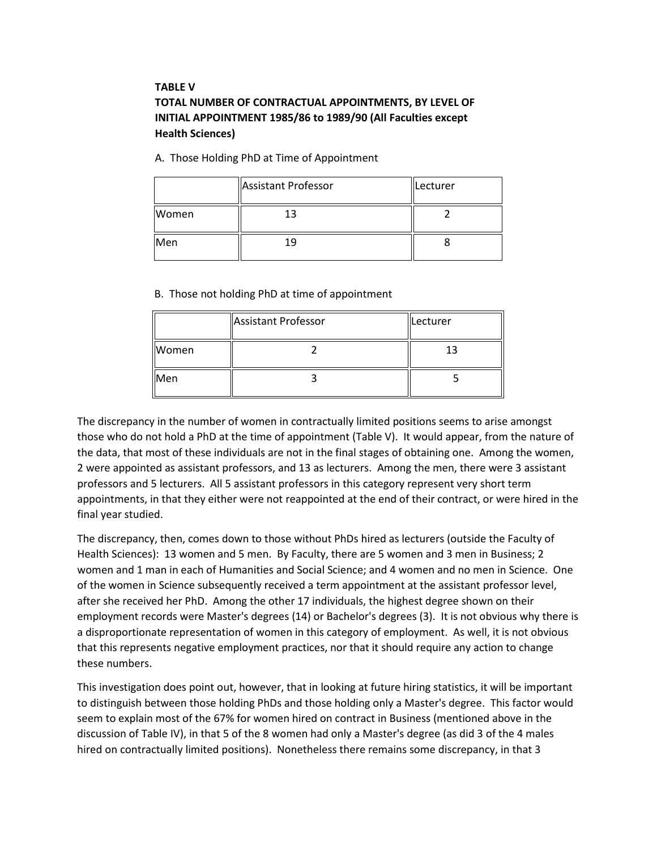# **TABLE V TOTAL NUMBER OF CONTRACTUAL APPOINTMENTS, BY LEVEL OF INITIAL APPOINTMENT 1985/86 to 1989/90 (All Faculties except Health Sciences)**

A. Those Holding PhD at Time of Appointment

|       | Assistant Professor | Lecturer |
|-------|---------------------|----------|
| Women |                     |          |
| Men   |                     |          |

B. Those not holding PhD at time of appointment

|       | Assistant Professor | Lecturer |  |  |
|-------|---------------------|----------|--|--|
| Women |                     | 13       |  |  |
| Men   |                     |          |  |  |

The discrepancy in the number of women in contractually limited positions seems to arise amongst those who do not hold a PhD at the time of appointment (Table V). It would appear, from the nature of the data, that most of these individuals are not in the final stages of obtaining one. Among the women, 2 were appointed as assistant professors, and 13 as lecturers. Among the men, there were 3 assistant professors and 5 lecturers. All 5 assistant professors in this category represent very short term appointments, in that they either were not reappointed at the end of their contract, or were hired in the final year studied.

The discrepancy, then, comes down to those without PhDs hired as lecturers (outside the Faculty of Health Sciences): 13 women and 5 men. By Faculty, there are 5 women and 3 men in Business; 2 women and 1 man in each of Humanities and Social Science; and 4 women and no men in Science. One of the women in Science subsequently received a term appointment at the assistant professor level, after she received her PhD. Among the other 17 individuals, the highest degree shown on their employment records were Master's degrees (14) or Bachelor's degrees (3). It is not obvious why there is a disproportionate representation of women in this category of employment. As well, it is not obvious that this represents negative employment practices, nor that it should require any action to change these numbers.

This investigation does point out, however, that in looking at future hiring statistics, it will be important to distinguish between those holding PhDs and those holding only a Master's degree. This factor would seem to explain most of the 67% for women hired on contract in Business (mentioned above in the discussion of Table IV), in that 5 of the 8 women had only a Master's degree (as did 3 of the 4 males hired on contractually limited positions). Nonetheless there remains some discrepancy, in that 3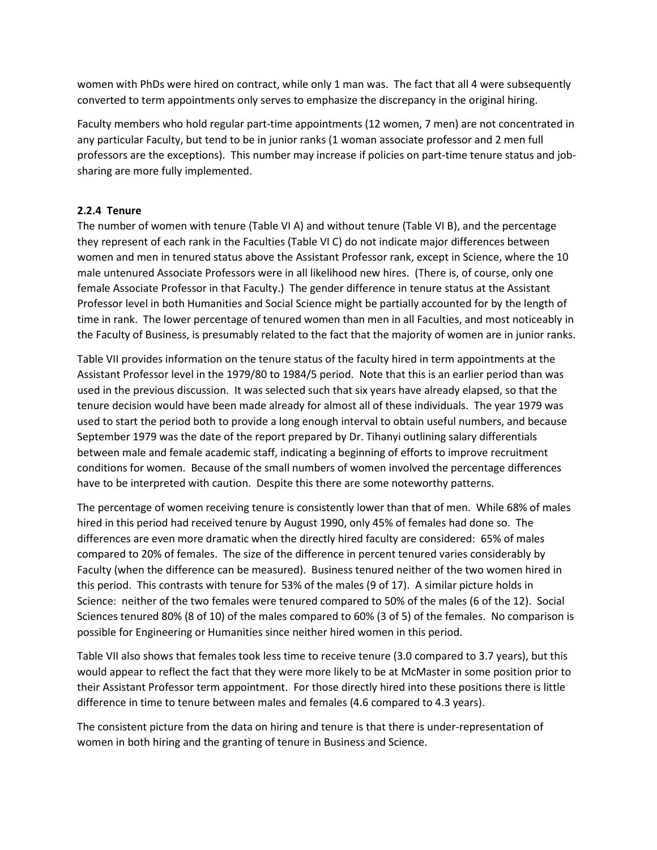women with PhDs were hired on contract, while only 1 man was. The fact that all 4 were subsequently converted to term appointments only serves to emphasize the discrepancy in the original hiring.

Faculty members who hold regular part-time appointments (12 women, 7 men) are not concentrated in any particular Faculty, but tend to be in junior ranks (1 woman associate professor and 2 men full professors are the exceptions). This number may increase if policies on part-time tenure status and jobsharing are more fully implemented.

## **2.2.4 Tenure**

The number of women with tenure (Table VI A) and without tenure (Table VI B), and the percentage they represent of each rank in the Faculties (Table VI C) do not indicate major differences between women and men in tenured status above the Assistant Professor rank, except in Science, where the 10 male untenured Associate Professors were in all likelihood new hires. (There is, of course, only one female Associate Professor in that Faculty.) The gender difference in tenure status at the Assistant Professor level in both Humanities and Social Science might be partially accounted for by the length of time in rank. The lower percentage of tenured women than men in all Faculties, and most noticeably in the Faculty of Business, is presumably related to the fact that the majority of women are in junior ranks.

Table VII provides information on the tenure status of the faculty hired in term appointments at the Assistant Professor level in the 1979/80 to 1984/5 period. Note that this is an earlier period than was used in the previous discussion. It was selected such that six years have already elapsed, so that the tenure decision would have been made already for almost all of these individuals. The year 1979 was used to start the period both to provide a long enough interval to obtain useful numbers, and because September 1979 was the date of the report prepared by Dr. Tihanyi outlining salary differentials between male and female academic staff, indicating a beginning of efforts to improve recruitment conditions for women. Because of the small numbers of women involved the percentage differences have to be interpreted with caution. Despite this there are some noteworthy patterns.

The percentage of women receiving tenure is consistently lower than that of men. While 68% of males hired in this period had received tenure by August 1990, only 45% of females had done so. The differences are even more dramatic when the directly hired faculty are considered: 65% of males compared to 20% of females. The size of the difference in percent tenured varies considerably by Faculty (when the difference can be measured). Business tenured neither of the two women hired in this period. This contrasts with tenure for 53% of the males (9 of 17). A similar picture holds in Science: neither of the two females were tenured compared to 50% of the males (6 of the 12). Social Sciences tenured 80% (8 of 10) of the males compared to 60% (3 of 5) of the females. No comparison is possible for Engineering or Humanities since neither hired women in this period.

Table VII also shows that females took less time to receive tenure (3.0 compared to 3.7 years), but this would appear to reflect the fact that they were more likely to be at McMaster in some position prior to their Assistant Professor term appointment. For those directly hired into these positions there is little difference in time to tenure between males and females (4.6 compared to 4.3 years).

The consistent picture from the data on hiring and tenure is that there is under-representation of women in both hiring and the granting of tenure in Business and Science.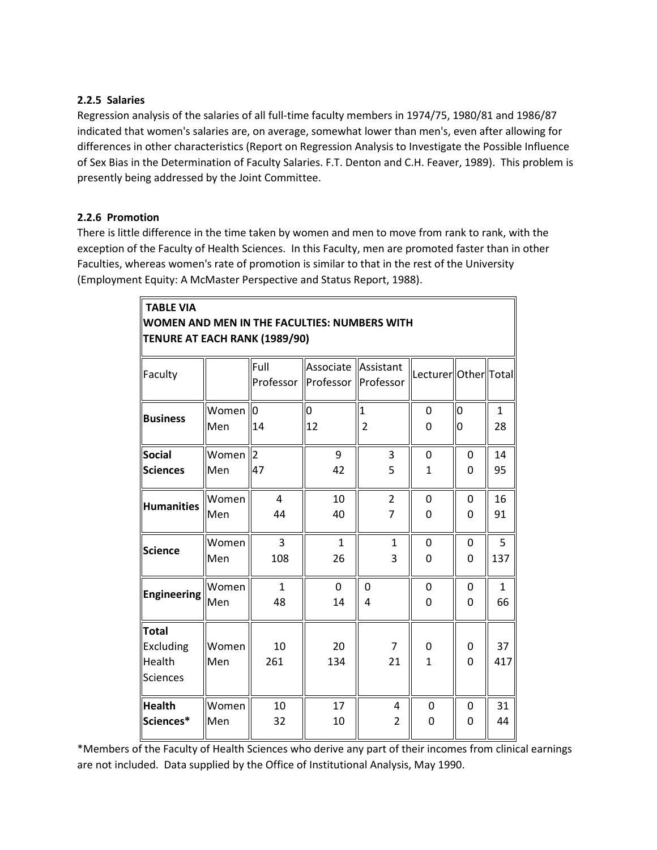## **2.2.5 Salaries**

Regression analysis of the salaries of all full-time faculty members in 1974/75, 1980/81 and 1986/87 indicated that women's salaries are, on average, somewhat lower than men's, even after allowing for differences in other characteristics (Report on Regression Analysis to Investigate the Possible Influence of Sex Bias in the Determination of Faculty Salaries. F.T. Denton and C.H. Feaver, 1989). This problem is presently being addressed by the Joint Committee.

## **2.2.6 Promotion**

**TABLE VIA**

There is little difference in the time taken by women and men to move from rank to rank, with the exception of the Faculty of Health Sciences. In this Faculty, men are promoted faster than in other Faculties, whereas women's rate of promotion is similar to that in the rest of the University (Employment Equity: A McMaster Perspective and Status Report, 1988).

**WOMEN AND MEN IN THE FACULTIES: NUMBERS WITH**

| <b>TENURE AT EACH RANK (1989/90)</b>                          |              |                   |                                              |                |                        |                  |              |  |  |  |
|---------------------------------------------------------------|--------------|-------------------|----------------------------------------------|----------------|------------------------|------------------|--------------|--|--|--|
| Faculty                                                       |              | Full<br>Professor | Associate Assistant<br>Professor   Professor |                | Lecturer  Other  Total |                  |              |  |  |  |
| <b>Business</b>                                               | Women        | $\overline{0}$    | $\overline{0}$                               | $\mathbf{1}$   | 0                      | O                | 1            |  |  |  |
|                                                               | Men          | 14                | 12                                           | $\overline{2}$ | 0                      | 0                | 28           |  |  |  |
| <b>Social</b>                                                 | Women        | 2                 | 9                                            | 3              | $\Omega$               | 0                | 14           |  |  |  |
| <b>Sciences</b>                                               | Men          | 47                | 42                                           | 5              | 1                      | 0                | 95           |  |  |  |
| <b>Humanities</b>                                             | Women        | 4                 | 10                                           | $\overline{2}$ | 0                      | 0                | 16           |  |  |  |
|                                                               | Men          | 44                | 40                                           | 7              | 0                      | 0                | 91           |  |  |  |
| <b>Science</b>                                                | Women        | 3                 | $\mathbf{1}$                                 | $\mathbf{1}$   | 0                      | 0                | 5            |  |  |  |
|                                                               | Men          | 108               | 26                                           | 3              | 0                      | 0                | 137          |  |  |  |
| <b>Engineering</b>                                            | Women        | $\mathbf{1}$      | $\overline{0}$                               | $\overline{0}$ | 0                      | 0                | $\mathbf{1}$ |  |  |  |
|                                                               | Men          | 48                | 14                                           | 4              | 0                      | 0                | 66           |  |  |  |
| <b>Total</b><br><b>Excluding</b><br>Health<br><b>Sciences</b> | Women<br>Men | 10<br>261         | 20<br>134                                    | 7<br>21        | 0<br>$\mathbf{1}$      | 0<br>$\mathbf 0$ | 37<br>417    |  |  |  |
| <b>Health</b>                                                 | Women        | 10                | 17                                           | 4              | 0                      | 0                | 31           |  |  |  |
| Sciences*                                                     | Men          | 32                | 10                                           | 2              | 0                      | 0                | 44           |  |  |  |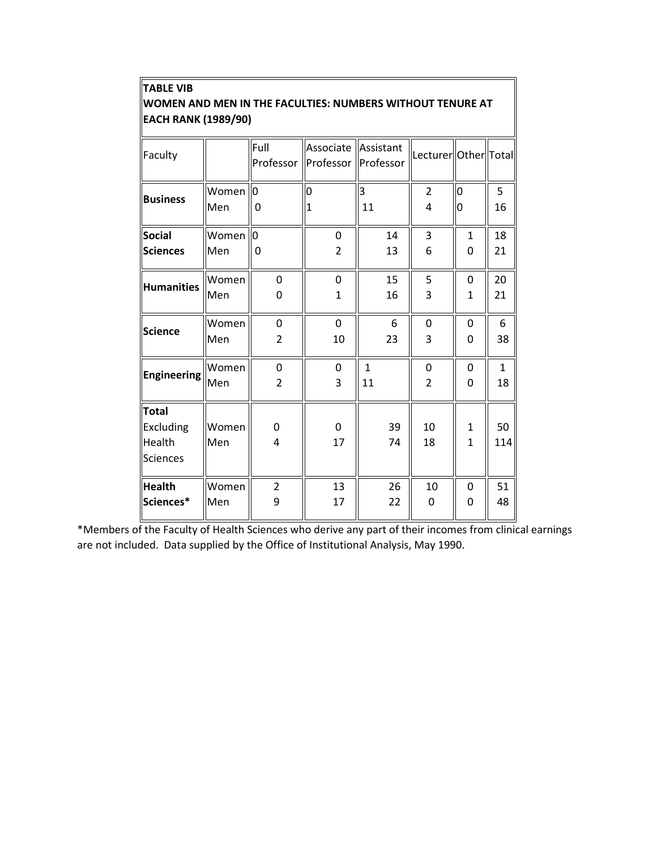| WOMEN AND MEN IN THE FACULTIES: NUMBERS WITHOUT TENURE AT<br><b>EACH RANK (1989/90)</b> |              |                |                                                          |              |                        |                                |           |  |  |  |
|-----------------------------------------------------------------------------------------|--------------|----------------|----------------------------------------------------------|--------------|------------------------|--------------------------------|-----------|--|--|--|
| Faculty                                                                                 |              | lFull          | Associate Assistant<br>Professor   Professor   Professor |              | Lecturer  Other  Total |                                |           |  |  |  |
| <b>Business</b>                                                                         | Women        | Ю              | 0                                                        | 3            | $\overline{2}$         | 0                              | 5         |  |  |  |
|                                                                                         | Men          | 0              | 1                                                        | 11           | 4                      | n                              | 16        |  |  |  |
| Social                                                                                  | Women        | lo             | $\mathbf 0$                                              | 14           | 3                      | $\mathbf{1}$                   | 18        |  |  |  |
| <b>Sciences</b>                                                                         | Men          | 0              | $\overline{2}$                                           | 13           | 6                      | 0                              | 21        |  |  |  |
| <b>Humanities</b>                                                                       | Women        | 0              | $\overline{0}$                                           | 15           | 5                      | $\overline{0}$                 | 20        |  |  |  |
|                                                                                         | Men          | 0              | 1                                                        | 16           | 3                      | 1                              | 21        |  |  |  |
| Science                                                                                 | Women        | 0              | $\overline{0}$                                           | 6            | 0                      | 0                              | 6         |  |  |  |
|                                                                                         | Men          | $\overline{2}$ | 10                                                       | 23           | 3                      | 0                              | 38        |  |  |  |
| <b>Engineering</b>                                                                      | Women        | 0              | $\Omega$                                                 | $\mathbf{1}$ | 0                      | 0                              | 1         |  |  |  |
|                                                                                         | Men          | $\overline{2}$ | 3                                                        | 11           | $\overline{2}$         | 0                              | 18        |  |  |  |
| <b>Total</b><br><b>Excluding</b><br>Health<br><b>Sciences</b>                           | Women<br>Men | 0<br>4         | $\mathbf 0$<br>17                                        | 39<br>74     | 10<br>18               | $\mathbf{1}$<br>$\overline{1}$ | 50<br>114 |  |  |  |
| <b>Health</b>                                                                           | Women        | $\overline{2}$ | 13                                                       | 26           | 10                     | 0                              | 51        |  |  |  |
| Sciences*                                                                               | Men          | 9              | 17                                                       | 22           | 0                      | 0                              | 48        |  |  |  |

# **TABLE VIB**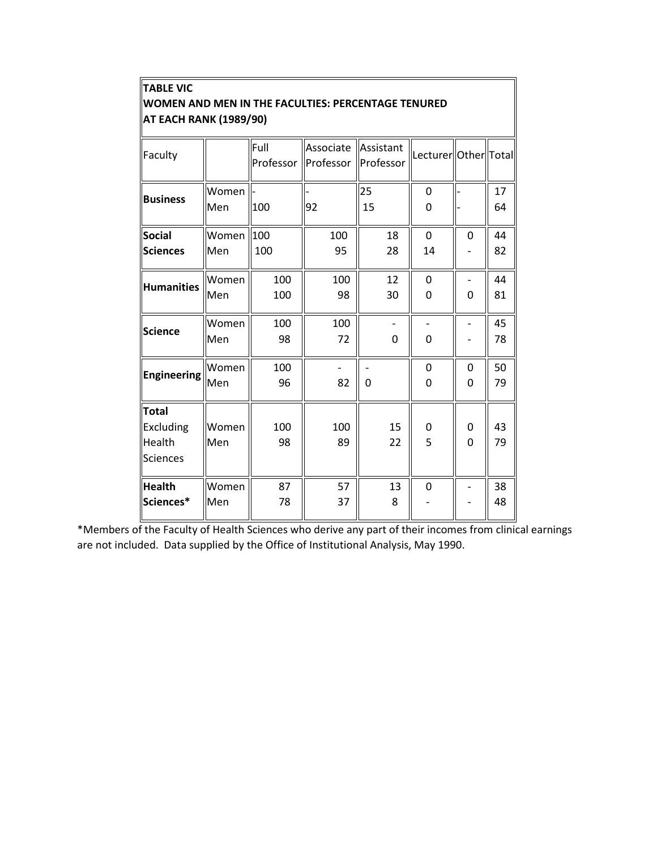| <b>TABLE VIC</b><br>WOMEN AND MEN IN THE FACULTIES: PERCENTAGE TENURED<br><b>AT EACH RANK (1989/90)</b> |                          |                   |                        |                        |                        |                     |          |  |  |
|---------------------------------------------------------------------------------------------------------|--------------------------|-------------------|------------------------|------------------------|------------------------|---------------------|----------|--|--|
| Faculty                                                                                                 |                          | Full<br>Professor | Associate<br>Professor | Assistant<br>Professor | Lecturer  Other  Total |                     |          |  |  |
| <b>Business</b>                                                                                         | Women<br>Men             | 100               | 92                     | 25<br>15               | 0<br>0                 |                     | 17<br>64 |  |  |
| Social<br><b>Sciences</b>                                                                               | Women $\vert$ 100<br>Men | 100               | 100<br>95              | 18<br>28               | $\overline{0}$<br>14   | $\mathbf 0$         | 44<br>82 |  |  |
| <b>Humanities</b>                                                                                       | Women<br>Men             | 100<br>100        | 100<br>98              | 12<br>30               | $\mathbf 0$<br>0       | $\mathbf 0$         | 44<br>81 |  |  |
| <b>Science</b>                                                                                          | Women<br>Men             | 100<br>98         | 100<br>72              | $\Omega$               | 0                      |                     | 45<br>78 |  |  |
| <b>Engineering</b>                                                                                      | Women<br>Men             | 100<br>96         | 82                     | 0                      | 0<br>0                 | $\mathbf 0$<br>0    | 50<br>79 |  |  |
| <b>Total</b><br><b>Excluding</b><br>Health<br><b>Sciences</b>                                           | Women<br>Men             | 100<br>98         | 100<br>89              | 15<br>22               | 0<br>5                 | 0<br>$\overline{0}$ | 43<br>79 |  |  |
| <b>Health</b><br>Sciences*                                                                              | Women<br>Men             | 87<br>78          | 57<br>37               | 13<br>8                | 0                      |                     | 38<br>48 |  |  |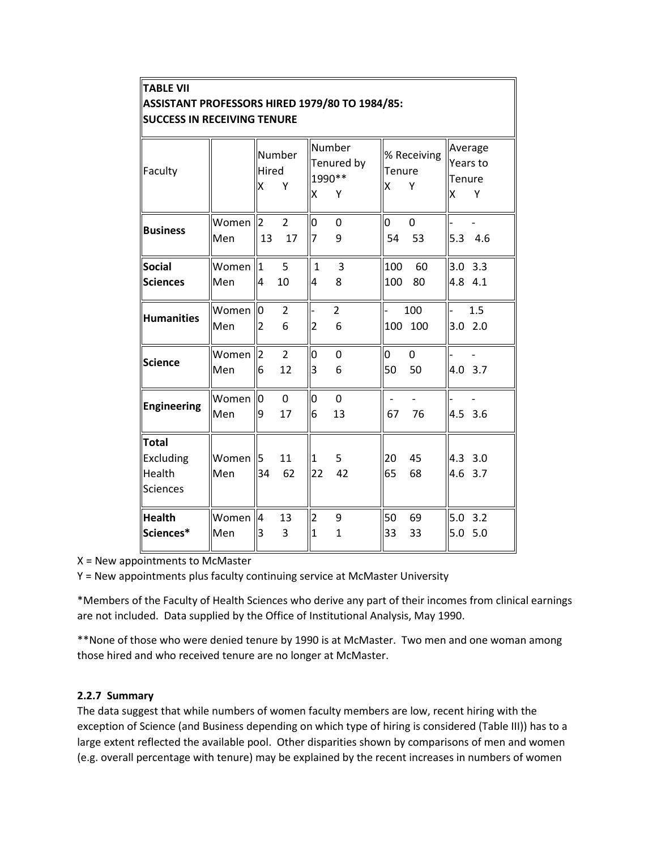| <b>TABLE VII</b>                                                                     |              |                                  |                      |                    |                                      |                                |                                |             |                          |
|--------------------------------------------------------------------------------------|--------------|----------------------------------|----------------------|--------------------|--------------------------------------|--------------------------------|--------------------------------|-------------|--------------------------|
| ASSISTANT PROFESSORS HIRED 1979/80 TO 1984/85:<br><b>SUCCESS IN RECEIVING TENURE</b> |              |                                  |                      |                    |                                      |                                |                                |             |                          |
| Faculty                                                                              |              | Hired<br>Χ                       | Number<br>Υ          | X                  | Number<br>Tenured by<br>1990 **<br>Υ | Tenure<br>x                    | % Receiving<br>Υ               | Tenure<br>X | Average<br>Years to<br>Y |
| <b>Business</b>                                                                      | Women<br>Men | $\overline{2}$<br>13             | 2<br>17              | 0<br>7             | 0<br>9                               | O<br>54                        | 0<br>53                        | 5.3         | 4.6                      |
| <b>Social</b><br><b>Sciences</b>                                                     | Women<br>Men | $\overline{1}$<br>4              | 5<br>10              | $\mathbf{1}$<br>4  | 3<br>8                               | 100<br>100                     | 60<br>80                       |             | $3.0$ $3.3$<br>4.8 4.1   |
| <b>Humanities</b>                                                                    | Women<br>Men | $\overline{0}$<br>$\overline{2}$ | 2<br>6               | $\overline{2}$     | $\overline{2}$<br>6                  | 100                            | 100<br>100                     | 3.0         | 1.5<br>2.0               |
| <b>Science</b>                                                                       | Women<br>Men | $\overline{2}$<br>6              | $\overline{2}$<br>12 | O<br>3             | 0<br>6                               | O<br>50                        | 0<br>50                        |             | 4.0 3.7                  |
| <b>Engineering</b>                                                                   | Women<br>Men | l0<br>9                          | $\mathbf{0}$<br>17   | 0<br>6             | 0<br>13                              | $\overline{\phantom{0}}$<br>67 | $\overline{\phantom{a}}$<br>76 |             | 4.5 3.6                  |
| <b>Total</b><br><b>Excluding</b><br><b>Health</b><br><b>Sciences</b>                 | Women<br>Men | 5<br>34                          | 11<br>62             | $\mathbf{1}$<br>22 | 5<br>42                              | 20<br>65                       | 45<br>68                       |             | 4.3 3.0<br>4.6 3.7       |
| <b>Health</b><br>Sciences*                                                           | Women<br>Men | $\overline{4}$<br>3              | 13<br>3              | 2<br>$\mathbf{1}$  | 9<br>1                               | 50<br>33                       | 69<br>33                       | 5.0<br>5.0  | 3.2<br>5.0               |

X = New appointments to McMaster

Y = New appointments plus faculty continuing service at McMaster University

\*Members of the Faculty of Health Sciences who derive any part of their incomes from clinical earnings are not included. Data supplied by the Office of Institutional Analysis, May 1990.

\*\*None of those who were denied tenure by 1990 is at McMaster. Two men and one woman among those hired and who received tenure are no longer at McMaster.

#### **2.2.7 Summary**

The data suggest that while numbers of women faculty members are low, recent hiring with the exception of Science (and Business depending on which type of hiring is considered (Table III)) has to a large extent reflected the available pool. Other disparities shown by comparisons of men and women (e.g. overall percentage with tenure) may be explained by the recent increases in numbers of women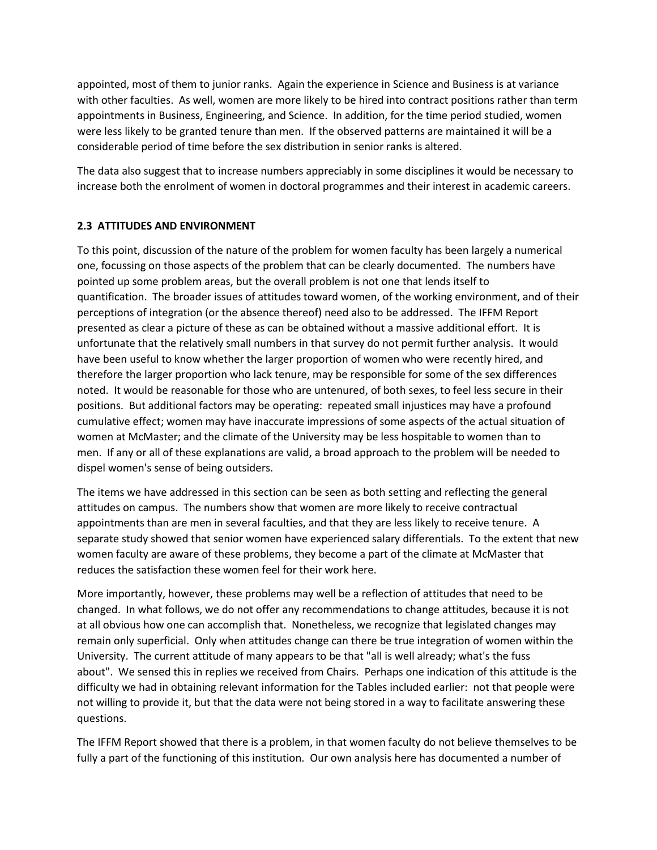appointed, most of them to junior ranks. Again the experience in Science and Business is at variance with other faculties. As well, women are more likely to be hired into contract positions rather than term appointments in Business, Engineering, and Science. In addition, for the time period studied, women were less likely to be granted tenure than men. If the observed patterns are maintained it will be a considerable period of time before the sex distribution in senior ranks is altered.

The data also suggest that to increase numbers appreciably in some disciplines it would be necessary to increase both the enrolment of women in doctoral programmes and their interest in academic careers.

## **2.3 ATTITUDES AND ENVIRONMENT**

To this point, discussion of the nature of the problem for women faculty has been largely a numerical one, focussing on those aspects of the problem that can be clearly documented. The numbers have pointed up some problem areas, but the overall problem is not one that lends itself to quantification. The broader issues of attitudes toward women, of the working environment, and of their perceptions of integration (or the absence thereof) need also to be addressed. The IFFM Report presented as clear a picture of these as can be obtained without a massive additional effort. It is unfortunate that the relatively small numbers in that survey do not permit further analysis. It would have been useful to know whether the larger proportion of women who were recently hired, and therefore the larger proportion who lack tenure, may be responsible for some of the sex differences noted. It would be reasonable for those who are untenured, of both sexes, to feel less secure in their positions. But additional factors may be operating: repeated small injustices may have a profound cumulative effect; women may have inaccurate impressions of some aspects of the actual situation of women at McMaster; and the climate of the University may be less hospitable to women than to men. If any or all of these explanations are valid, a broad approach to the problem will be needed to dispel women's sense of being outsiders.

The items we have addressed in this section can be seen as both setting and reflecting the general attitudes on campus. The numbers show that women are more likely to receive contractual appointments than are men in several faculties, and that they are less likely to receive tenure. A separate study showed that senior women have experienced salary differentials. To the extent that new women faculty are aware of these problems, they become a part of the climate at McMaster that reduces the satisfaction these women feel for their work here.

More importantly, however, these problems may well be a reflection of attitudes that need to be changed. In what follows, we do not offer any recommendations to change attitudes, because it is not at all obvious how one can accomplish that. Nonetheless, we recognize that legislated changes may remain only superficial. Only when attitudes change can there be true integration of women within the University. The current attitude of many appears to be that "all is well already; what's the fuss about". We sensed this in replies we received from Chairs. Perhaps one indication of this attitude is the difficulty we had in obtaining relevant information for the Tables included earlier: not that people were not willing to provide it, but that the data were not being stored in a way to facilitate answering these questions.

The IFFM Report showed that there is a problem, in that women faculty do not believe themselves to be fully a part of the functioning of this institution. Our own analysis here has documented a number of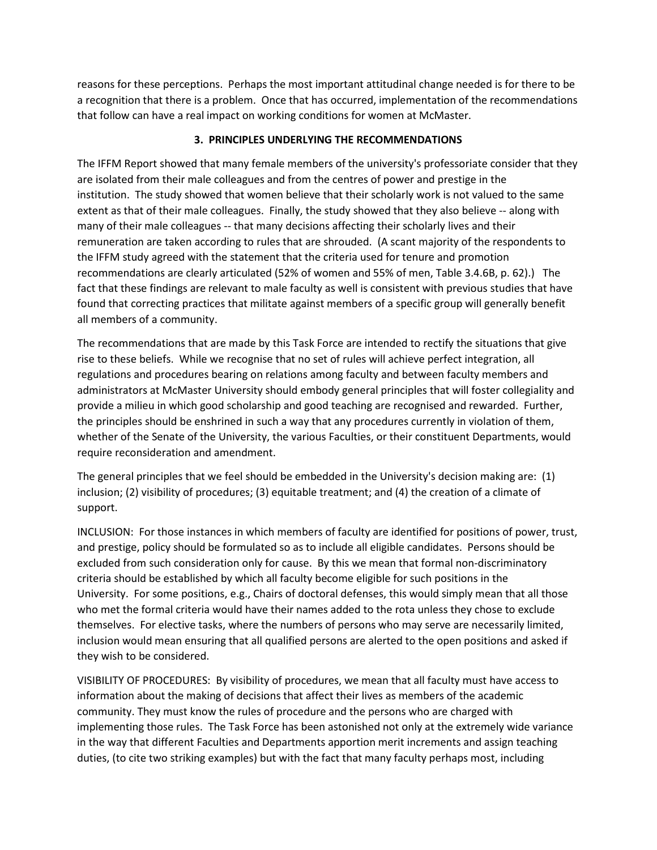reasons for these perceptions. Perhaps the most important attitudinal change needed is for there to be a recognition that there is a problem. Once that has occurred, implementation of the recommendations that follow can have a real impact on working conditions for women at McMaster.

## **3. PRINCIPLES UNDERLYING THE RECOMMENDATIONS**

The IFFM Report showed that many female members of the university's professoriate consider that they are isolated from their male colleagues and from the centres of power and prestige in the institution. The study showed that women believe that their scholarly work is not valued to the same extent as that of their male colleagues. Finally, the study showed that they also believe -- along with many of their male colleagues -- that many decisions affecting their scholarly lives and their remuneration are taken according to rules that are shrouded. (A scant majority of the respondents to the IFFM study agreed with the statement that the criteria used for tenure and promotion recommendations are clearly articulated (52% of women and 55% of men, Table 3.4.6B, p. 62).) The fact that these findings are relevant to male faculty as well is consistent with previous studies that have found that correcting practices that militate against members of a specific group will generally benefit all members of a community.

The recommendations that are made by this Task Force are intended to rectify the situations that give rise to these beliefs. While we recognise that no set of rules will achieve perfect integration, all regulations and procedures bearing on relations among faculty and between faculty members and administrators at McMaster University should embody general principles that will foster collegiality and provide a milieu in which good scholarship and good teaching are recognised and rewarded. Further, the principles should be enshrined in such a way that any procedures currently in violation of them, whether of the Senate of the University, the various Faculties, or their constituent Departments, would require reconsideration and amendment.

The general principles that we feel should be embedded in the University's decision making are: (1) inclusion; (2) visibility of procedures; (3) equitable treatment; and (4) the creation of a climate of support.

INCLUSION: For those instances in which members of faculty are identified for positions of power, trust, and prestige, policy should be formulated so as to include all eligible candidates. Persons should be excluded from such consideration only for cause. By this we mean that formal non-discriminatory criteria should be established by which all faculty become eligible for such positions in the University. For some positions, e.g., Chairs of doctoral defenses, this would simply mean that all those who met the formal criteria would have their names added to the rota unless they chose to exclude themselves. For elective tasks, where the numbers of persons who may serve are necessarily limited, inclusion would mean ensuring that all qualified persons are alerted to the open positions and asked if they wish to be considered.

VISIBILITY OF PROCEDURES: By visibility of procedures, we mean that all faculty must have access to information about the making of decisions that affect their lives as members of the academic community. They must know the rules of procedure and the persons who are charged with implementing those rules. The Task Force has been astonished not only at the extremely wide variance in the way that different Faculties and Departments apportion merit increments and assign teaching duties, (to cite two striking examples) but with the fact that many faculty perhaps most, including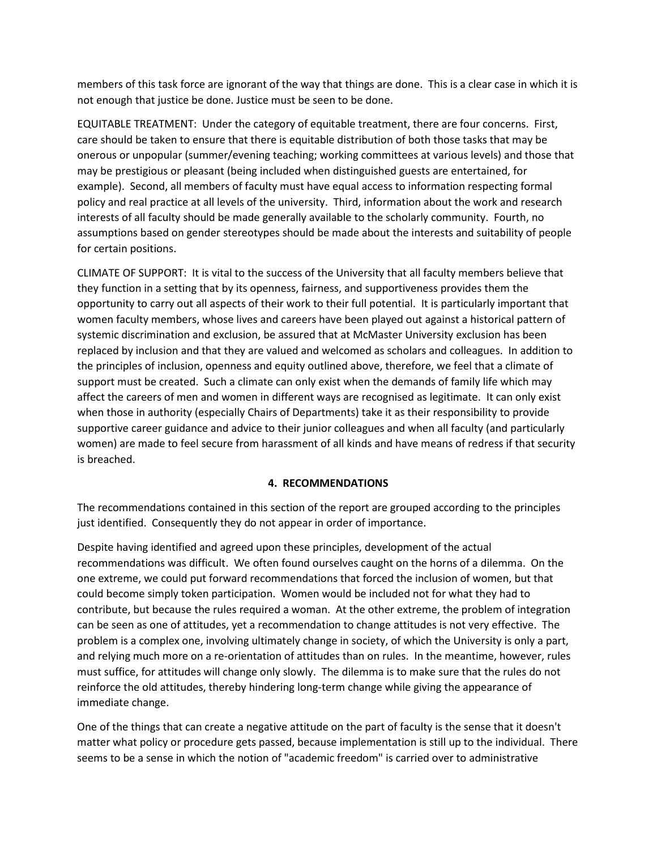members of this task force are ignorant of the way that things are done. This is a clear case in which it is not enough that justice be done. Justice must be seen to be done.

EQUITABLE TREATMENT: Under the category of equitable treatment, there are four concerns. First, care should be taken to ensure that there is equitable distribution of both those tasks that may be onerous or unpopular (summer/evening teaching; working committees at various levels) and those that may be prestigious or pleasant (being included when distinguished guests are entertained, for example). Second, all members of faculty must have equal access to information respecting formal policy and real practice at all levels of the university. Third, information about the work and research interests of all faculty should be made generally available to the scholarly community. Fourth, no assumptions based on gender stereotypes should be made about the interests and suitability of people for certain positions.

CLIMATE OF SUPPORT: It is vital to the success of the University that all faculty members believe that they function in a setting that by its openness, fairness, and supportiveness provides them the opportunity to carry out all aspects of their work to their full potential. It is particularly important that women faculty members, whose lives and careers have been played out against a historical pattern of systemic discrimination and exclusion, be assured that at McMaster University exclusion has been replaced by inclusion and that they are valued and welcomed as scholars and colleagues. In addition to the principles of inclusion, openness and equity outlined above, therefore, we feel that a climate of support must be created. Such a climate can only exist when the demands of family life which may affect the careers of men and women in different ways are recognised as legitimate. It can only exist when those in authority (especially Chairs of Departments) take it as their responsibility to provide supportive career guidance and advice to their junior colleagues and when all faculty (and particularly women) are made to feel secure from harassment of all kinds and have means of redress if that security is breached.

#### **4. RECOMMENDATIONS**

The recommendations contained in this section of the report are grouped according to the principles just identified. Consequently they do not appear in order of importance.

Despite having identified and agreed upon these principles, development of the actual recommendations was difficult. We often found ourselves caught on the horns of a dilemma. On the one extreme, we could put forward recommendations that forced the inclusion of women, but that could become simply token participation. Women would be included not for what they had to contribute, but because the rules required a woman. At the other extreme, the problem of integration can be seen as one of attitudes, yet a recommendation to change attitudes is not very effective. The problem is a complex one, involving ultimately change in society, of which the University is only a part, and relying much more on a re-orientation of attitudes than on rules. In the meantime, however, rules must suffice, for attitudes will change only slowly. The dilemma is to make sure that the rules do not reinforce the old attitudes, thereby hindering long-term change while giving the appearance of immediate change.

One of the things that can create a negative attitude on the part of faculty is the sense that it doesn't matter what policy or procedure gets passed, because implementation is still up to the individual. There seems to be a sense in which the notion of "academic freedom" is carried over to administrative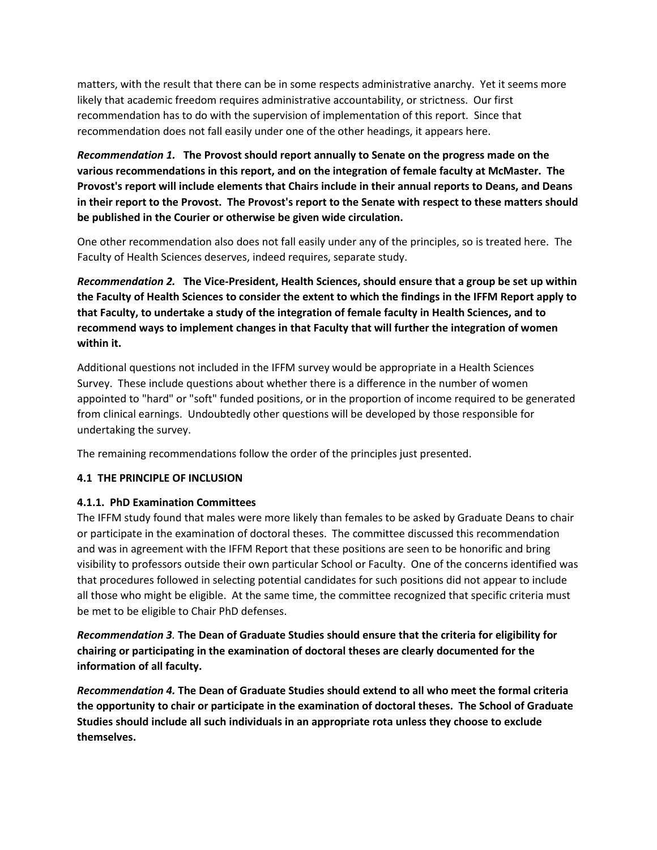matters, with the result that there can be in some respects administrative anarchy. Yet it seems more likely that academic freedom requires administrative accountability, or strictness. Our first recommendation has to do with the supervision of implementation of this report. Since that recommendation does not fall easily under one of the other headings, it appears here.

*Recommendation 1.* **The Provost should report annually to Senate on the progress made on the various recommendations in this report, and on the integration of female faculty at McMaster. The Provost's report will include elements that Chairs include in their annual reports to Deans, and Deans in their report to the Provost. The Provost's report to the Senate with respect to these matters should be published in the Courier or otherwise be given wide circulation.**

One other recommendation also does not fall easily under any of the principles, so is treated here. The Faculty of Health Sciences deserves, indeed requires, separate study.

*Recommendation 2.* **The Vice-President, Health Sciences, should ensure that a group be set up within the Faculty of Health Sciences to consider the extent to which the findings in the IFFM Report apply to that Faculty, to undertake a study of the integration of female faculty in Health Sciences, and to recommend ways to implement changes in that Faculty that will further the integration of women within it.**

Additional questions not included in the IFFM survey would be appropriate in a Health Sciences Survey. These include questions about whether there is a difference in the number of women appointed to "hard" or "soft" funded positions, or in the proportion of income required to be generated from clinical earnings. Undoubtedly other questions will be developed by those responsible for undertaking the survey.

The remaining recommendations follow the order of the principles just presented.

## **4.1 THE PRINCIPLE OF INCLUSION**

## **4.1.1. PhD Examination Committees**

The IFFM study found that males were more likely than females to be asked by Graduate Deans to chair or participate in the examination of doctoral theses. The committee discussed this recommendation and was in agreement with the IFFM Report that these positions are seen to be honorific and bring visibility to professors outside their own particular School or Faculty. One of the concerns identified was that procedures followed in selecting potential candidates for such positions did not appear to include all those who might be eligible. At the same time, the committee recognized that specific criteria must be met to be eligible to Chair PhD defenses.

*Recommendation 3.* **The Dean of Graduate Studies should ensure that the criteria for eligibility for chairing or participating in the examination of doctoral theses are clearly documented for the information of all faculty.**

*Recommendation 4.* **The Dean of Graduate Studies should extend to all who meet the formal criteria the opportunity to chair or participate in the examination of doctoral theses. The School of Graduate Studies should include all such individuals in an appropriate rota unless they choose to exclude themselves.**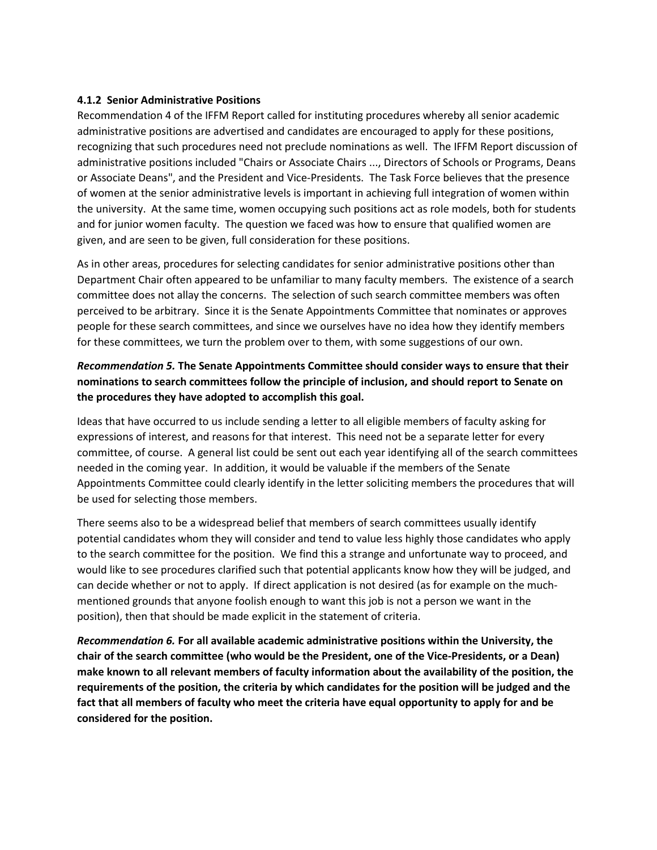#### **4.1.2 Senior Administrative Positions**

Recommendation 4 of the IFFM Report called for instituting procedures whereby all senior academic administrative positions are advertised and candidates are encouraged to apply for these positions, recognizing that such procedures need not preclude nominations as well. The IFFM Report discussion of administrative positions included "Chairs or Associate Chairs ..., Directors of Schools or Programs, Deans or Associate Deans", and the President and Vice-Presidents. The Task Force believes that the presence of women at the senior administrative levels is important in achieving full integration of women within the university. At the same time, women occupying such positions act as role models, both for students and for junior women faculty. The question we faced was how to ensure that qualified women are given, and are seen to be given, full consideration for these positions.

As in other areas, procedures for selecting candidates for senior administrative positions other than Department Chair often appeared to be unfamiliar to many faculty members. The existence of a search committee does not allay the concerns. The selection of such search committee members was often perceived to be arbitrary. Since it is the Senate Appointments Committee that nominates or approves people for these search committees, and since we ourselves have no idea how they identify members for these committees, we turn the problem over to them, with some suggestions of our own.

# *Recommendation 5.* **The Senate Appointments Committee should consider ways to ensure that their nominations to search committees follow the principle of inclusion, and should report to Senate on the procedures they have adopted to accomplish this goal.**

Ideas that have occurred to us include sending a letter to all eligible members of faculty asking for expressions of interest, and reasons for that interest. This need not be a separate letter for every committee, of course. A general list could be sent out each year identifying all of the search committees needed in the coming year. In addition, it would be valuable if the members of the Senate Appointments Committee could clearly identify in the letter soliciting members the procedures that will be used for selecting those members.

There seems also to be a widespread belief that members of search committees usually identify potential candidates whom they will consider and tend to value less highly those candidates who apply to the search committee for the position. We find this a strange and unfortunate way to proceed, and would like to see procedures clarified such that potential applicants know how they will be judged, and can decide whether or not to apply. If direct application is not desired (as for example on the muchmentioned grounds that anyone foolish enough to want this job is not a person we want in the position), then that should be made explicit in the statement of criteria.

*Recommendation 6.* **For all available academic administrative positions within the University, the chair of the search committee (who would be the President, one of the Vice-Presidents, or a Dean) make known to all relevant members of faculty information about the availability of the position, the requirements of the position, the criteria by which candidates for the position will be judged and the fact that all members of faculty who meet the criteria have equal opportunity to apply for and be considered for the position.**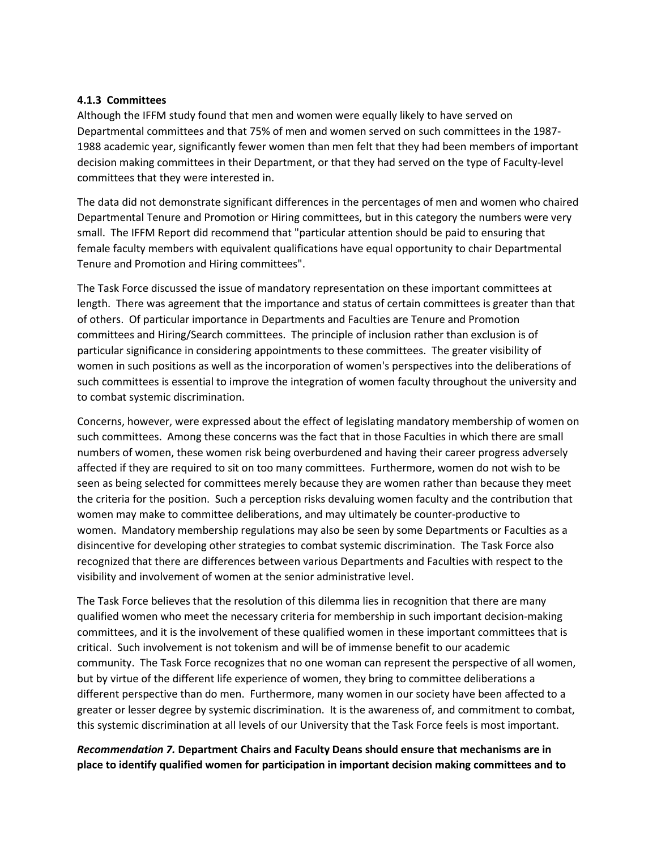#### **4.1.3 Committees**

Although the IFFM study found that men and women were equally likely to have served on Departmental committees and that 75% of men and women served on such committees in the 1987- 1988 academic year, significantly fewer women than men felt that they had been members of important decision making committees in their Department, or that they had served on the type of Faculty-level committees that they were interested in.

The data did not demonstrate significant differences in the percentages of men and women who chaired Departmental Tenure and Promotion or Hiring committees, but in this category the numbers were very small. The IFFM Report did recommend that "particular attention should be paid to ensuring that female faculty members with equivalent qualifications have equal opportunity to chair Departmental Tenure and Promotion and Hiring committees".

The Task Force discussed the issue of mandatory representation on these important committees at length. There was agreement that the importance and status of certain committees is greater than that of others. Of particular importance in Departments and Faculties are Tenure and Promotion committees and Hiring/Search committees. The principle of inclusion rather than exclusion is of particular significance in considering appointments to these committees. The greater visibility of women in such positions as well as the incorporation of women's perspectives into the deliberations of such committees is essential to improve the integration of women faculty throughout the university and to combat systemic discrimination.

Concerns, however, were expressed about the effect of legislating mandatory membership of women on such committees. Among these concerns was the fact that in those Faculties in which there are small numbers of women, these women risk being overburdened and having their career progress adversely affected if they are required to sit on too many committees. Furthermore, women do not wish to be seen as being selected for committees merely because they are women rather than because they meet the criteria for the position. Such a perception risks devaluing women faculty and the contribution that women may make to committee deliberations, and may ultimately be counter-productive to women. Mandatory membership regulations may also be seen by some Departments or Faculties as a disincentive for developing other strategies to combat systemic discrimination. The Task Force also recognized that there are differences between various Departments and Faculties with respect to the visibility and involvement of women at the senior administrative level.

The Task Force believes that the resolution of this dilemma lies in recognition that there are many qualified women who meet the necessary criteria for membership in such important decision-making committees, and it is the involvement of these qualified women in these important committees that is critical. Such involvement is not tokenism and will be of immense benefit to our academic community. The Task Force recognizes that no one woman can represent the perspective of all women, but by virtue of the different life experience of women, they bring to committee deliberations a different perspective than do men. Furthermore, many women in our society have been affected to a greater or lesser degree by systemic discrimination. It is the awareness of, and commitment to combat, this systemic discrimination at all levels of our University that the Task Force feels is most important.

## *Recommendation 7.* **Department Chairs and Faculty Deans should ensure that mechanisms are in place to identify qualified women for participation in important decision making committees and to**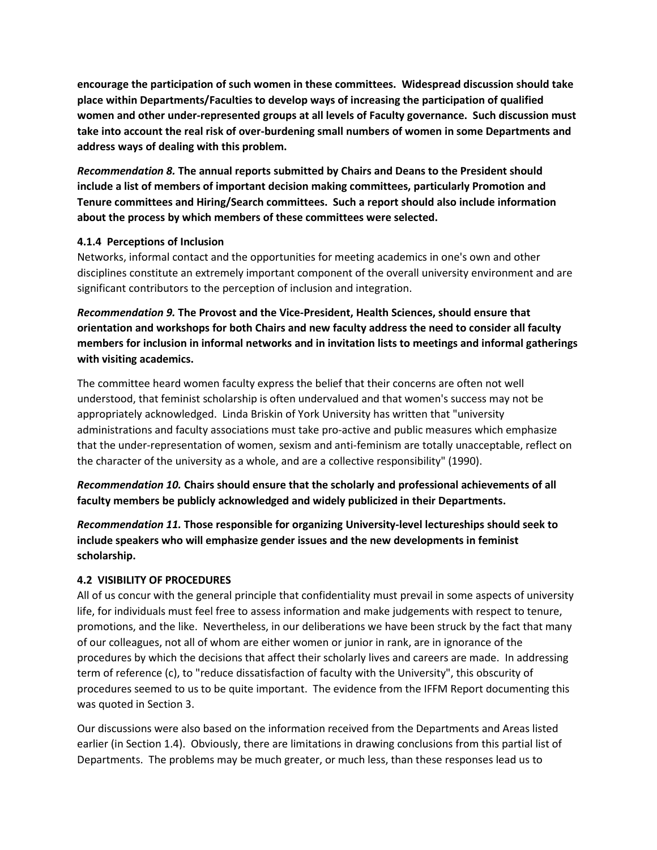**encourage the participation of such women in these committees. Widespread discussion should take place within Departments/Faculties to develop ways of increasing the participation of qualified women and other under-represented groups at all levels of Faculty governance. Such discussion must take into account the real risk of over-burdening small numbers of women in some Departments and address ways of dealing with this problem.**

*Recommendation 8.* **The annual reports submitted by Chairs and Deans to the President should include a list of members of important decision making committees, particularly Promotion and Tenure committees and Hiring/Search committees. Such a report should also include information about the process by which members of these committees were selected.**

## **4.1.4 Perceptions of Inclusion**

Networks, informal contact and the opportunities for meeting academics in one's own and other disciplines constitute an extremely important component of the overall university environment and are significant contributors to the perception of inclusion and integration.

*Recommendation 9.* **The Provost and the Vice-President, Health Sciences, should ensure that orientation and workshops for both Chairs and new faculty address the need to consider all faculty members for inclusion in informal networks and in invitation lists to meetings and informal gatherings with visiting academics.**

The committee heard women faculty express the belief that their concerns are often not well understood, that feminist scholarship is often undervalued and that women's success may not be appropriately acknowledged. Linda Briskin of York University has written that "university administrations and faculty associations must take pro-active and public measures which emphasize that the under-representation of women, sexism and anti-feminism are totally unacceptable, reflect on the character of the university as a whole, and are a collective responsibility" (1990).

*Recommendation 10.* **Chairs should ensure that the scholarly and professional achievements of all faculty members be publicly acknowledged and widely publicized in their Departments.**

*Recommendation 11.* **Those responsible for organizing University-level lectureships should seek to include speakers who will emphasize gender issues and the new developments in feminist scholarship.**

## **4.2 VISIBILITY OF PROCEDURES**

All of us concur with the general principle that confidentiality must prevail in some aspects of university life, for individuals must feel free to assess information and make judgements with respect to tenure, promotions, and the like. Nevertheless, in our deliberations we have been struck by the fact that many of our colleagues, not all of whom are either women or junior in rank, are in ignorance of the procedures by which the decisions that affect their scholarly lives and careers are made. In addressing term of reference (c), to "reduce dissatisfaction of faculty with the University", this obscurity of procedures seemed to us to be quite important. The evidence from the IFFM Report documenting this was quoted in Section 3.

Our discussions were also based on the information received from the Departments and Areas listed earlier (in Section 1.4). Obviously, there are limitations in drawing conclusions from this partial list of Departments. The problems may be much greater, or much less, than these responses lead us to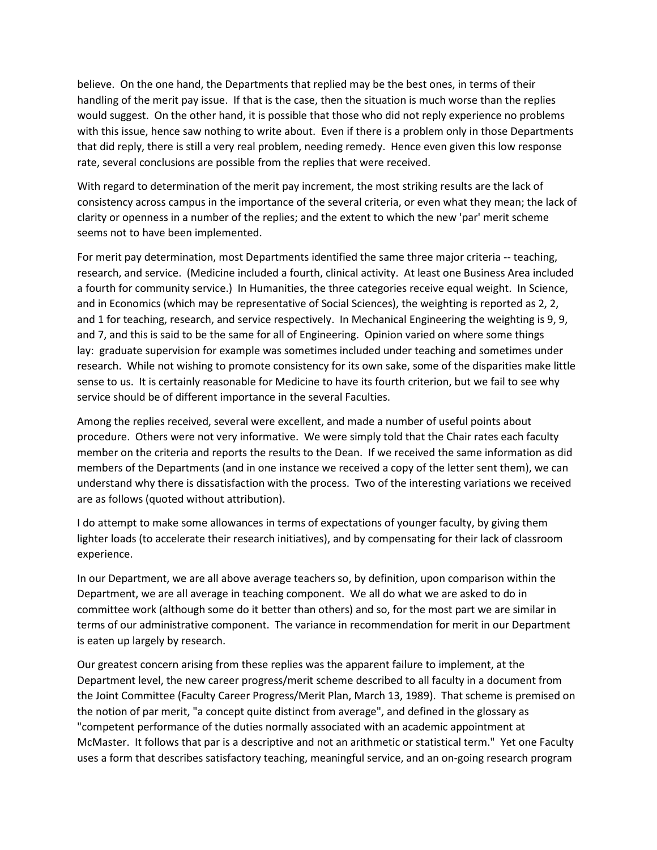believe. On the one hand, the Departments that replied may be the best ones, in terms of their handling of the merit pay issue. If that is the case, then the situation is much worse than the replies would suggest. On the other hand, it is possible that those who did not reply experience no problems with this issue, hence saw nothing to write about. Even if there is a problem only in those Departments that did reply, there is still a very real problem, needing remedy. Hence even given this low response rate, several conclusions are possible from the replies that were received.

With regard to determination of the merit pay increment, the most striking results are the lack of consistency across campus in the importance of the several criteria, or even what they mean; the lack of clarity or openness in a number of the replies; and the extent to which the new 'par' merit scheme seems not to have been implemented.

For merit pay determination, most Departments identified the same three major criteria -- teaching, research, and service. (Medicine included a fourth, clinical activity. At least one Business Area included a fourth for community service.) In Humanities, the three categories receive equal weight. In Science, and in Economics (which may be representative of Social Sciences), the weighting is reported as 2, 2, and 1 for teaching, research, and service respectively. In Mechanical Engineering the weighting is 9, 9, and 7, and this is said to be the same for all of Engineering. Opinion varied on where some things lay: graduate supervision for example was sometimes included under teaching and sometimes under research. While not wishing to promote consistency for its own sake, some of the disparities make little sense to us. It is certainly reasonable for Medicine to have its fourth criterion, but we fail to see why service should be of different importance in the several Faculties.

Among the replies received, several were excellent, and made a number of useful points about procedure. Others were not very informative. We were simply told that the Chair rates each faculty member on the criteria and reports the results to the Dean. If we received the same information as did members of the Departments (and in one instance we received a copy of the letter sent them), we can understand why there is dissatisfaction with the process. Two of the interesting variations we received are as follows (quoted without attribution).

I do attempt to make some allowances in terms of expectations of younger faculty, by giving them lighter loads (to accelerate their research initiatives), and by compensating for their lack of classroom experience.

In our Department, we are all above average teachers so, by definition, upon comparison within the Department, we are all average in teaching component. We all do what we are asked to do in committee work (although some do it better than others) and so, for the most part we are similar in terms of our administrative component. The variance in recommendation for merit in our Department is eaten up largely by research.

Our greatest concern arising from these replies was the apparent failure to implement, at the Department level, the new career progress/merit scheme described to all faculty in a document from the Joint Committee (Faculty Career Progress/Merit Plan, March 13, 1989). That scheme is premised on the notion of par merit, "a concept quite distinct from average", and defined in the glossary as "competent performance of the duties normally associated with an academic appointment at McMaster. It follows that par is a descriptive and not an arithmetic or statistical term." Yet one Faculty uses a form that describes satisfactory teaching, meaningful service, and an on-going research program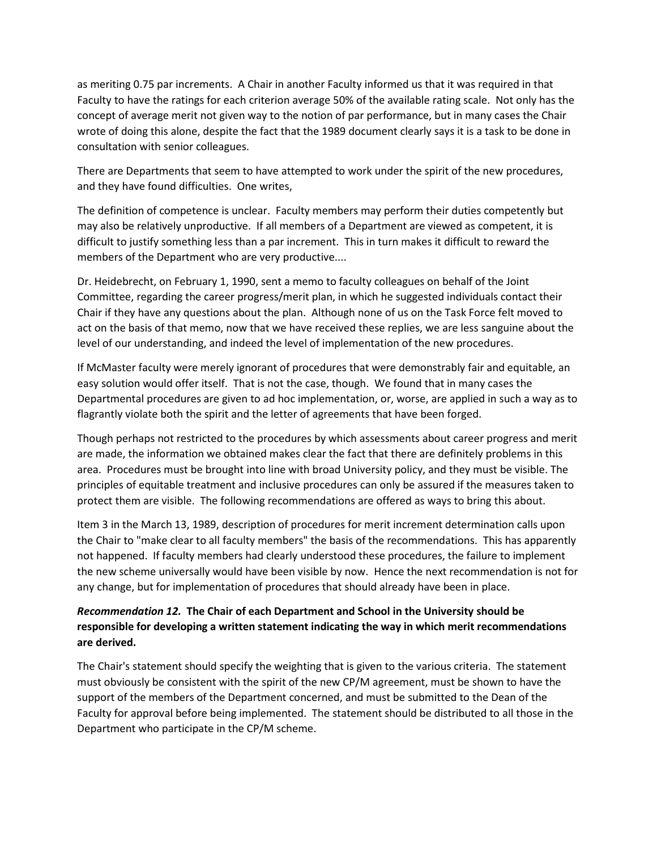as meriting 0.75 par increments. A Chair in another Faculty informed us that it was required in that Faculty to have the ratings for each criterion average 50% of the available rating scale. Not only has the concept of average merit not given way to the notion of par performance, but in many cases the Chair wrote of doing this alone, despite the fact that the 1989 document clearly says it is a task to be done in consultation with senior colleagues.

There are Departments that seem to have attempted to work under the spirit of the new procedures, and they have found difficulties. One writes,

The definition of competence is unclear. Faculty members may perform their duties competently but may also be relatively unproductive. If all members of a Department are viewed as competent, it is difficult to justify something less than a par increment. This in turn makes it difficult to reward the members of the Department who are very productive....

Dr. Heidebrecht, on February 1, 1990, sent a memo to faculty colleagues on behalf of the Joint Committee, regarding the career progress/merit plan, in which he suggested individuals contact their Chair if they have any questions about the plan. Although none of us on the Task Force felt moved to act on the basis of that memo, now that we have received these replies, we are less sanguine about the level of our understanding, and indeed the level of implementation of the new procedures.

If McMaster faculty were merely ignorant of procedures that were demonstrably fair and equitable, an easy solution would offer itself. That is not the case, though. We found that in many cases the Departmental procedures are given to ad hoc implementation, or, worse, are applied in such a way as to flagrantly violate both the spirit and the letter of agreements that have been forged.

Though perhaps not restricted to the procedures by which assessments about career progress and merit are made, the information we obtained makes clear the fact that there are definitely problems in this area. Procedures must be brought into line with broad University policy, and they must be visible. The principles of equitable treatment and inclusive procedures can only be assured if the measures taken to protect them are visible. The following recommendations are offered as ways to bring this about.

Item 3 in the March 13, 1989, description of procedures for merit increment determination calls upon the Chair to "make clear to all faculty members" the basis of the recommendations. This has apparently not happened. If faculty members had clearly understood these procedures, the failure to implement the new scheme universally would have been visible by now. Hence the next recommendation is not for any change, but for implementation of procedures that should already have been in place.

# *Recommendation 12.* **The Chair of each Department and School in the University should be responsible for developing a written statement indicating the way in which merit recommendations are derived.**

The Chair's statement should specify the weighting that is given to the various criteria. The statement must obviously be consistent with the spirit of the new CP/M agreement, must be shown to have the support of the members of the Department concerned, and must be submitted to the Dean of the Faculty for approval before being implemented. The statement should be distributed to all those in the Department who participate in the CP/M scheme.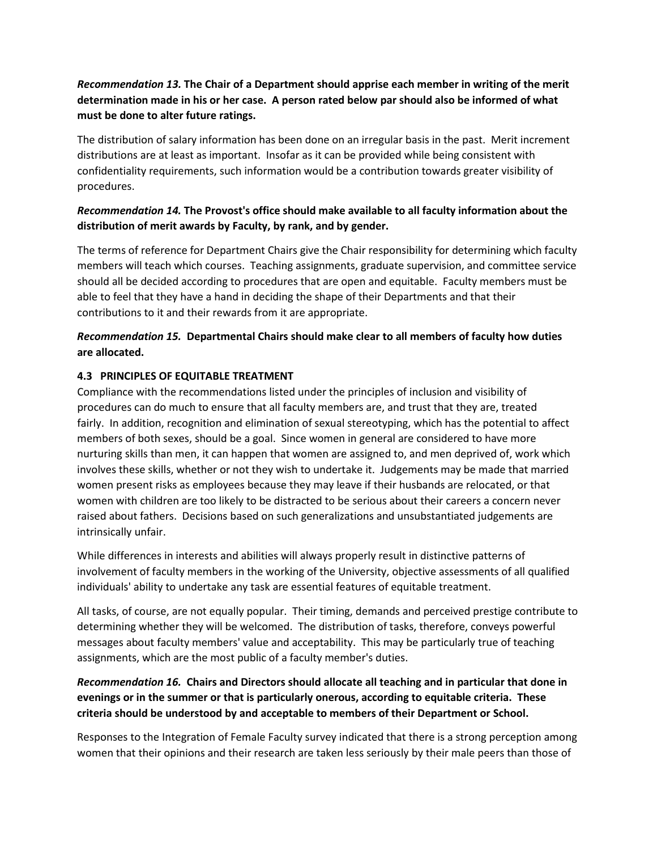# *Recommendation 13.* **The Chair of a Department should apprise each member in writing of the merit determination made in his or her case. A person rated below par should also be informed of what must be done to alter future ratings.**

The distribution of salary information has been done on an irregular basis in the past. Merit increment distributions are at least as important. Insofar as it can be provided while being consistent with confidentiality requirements, such information would be a contribution towards greater visibility of procedures.

# *Recommendation 14.* **The Provost's office should make available to all faculty information about the distribution of merit awards by Faculty, by rank, and by gender.**

The terms of reference for Department Chairs give the Chair responsibility for determining which faculty members will teach which courses. Teaching assignments, graduate supervision, and committee service should all be decided according to procedures that are open and equitable. Faculty members must be able to feel that they have a hand in deciding the shape of their Departments and that their contributions to it and their rewards from it are appropriate.

# *Recommendation 15.* **Departmental Chairs should make clear to all members of faculty how duties are allocated.**

## **4.3 PRINCIPLES OF EQUITABLE TREATMENT**

Compliance with the recommendations listed under the principles of inclusion and visibility of procedures can do much to ensure that all faculty members are, and trust that they are, treated fairly. In addition, recognition and elimination of sexual stereotyping, which has the potential to affect members of both sexes, should be a goal. Since women in general are considered to have more nurturing skills than men, it can happen that women are assigned to, and men deprived of, work which involves these skills, whether or not they wish to undertake it. Judgements may be made that married women present risks as employees because they may leave if their husbands are relocated, or that women with children are too likely to be distracted to be serious about their careers a concern never raised about fathers. Decisions based on such generalizations and unsubstantiated judgements are intrinsically unfair.

While differences in interests and abilities will always properly result in distinctive patterns of involvement of faculty members in the working of the University, objective assessments of all qualified individuals' ability to undertake any task are essential features of equitable treatment.

All tasks, of course, are not equally popular. Their timing, demands and perceived prestige contribute to determining whether they will be welcomed. The distribution of tasks, therefore, conveys powerful messages about faculty members' value and acceptability. This may be particularly true of teaching assignments, which are the most public of a faculty member's duties.

*Recommendation 16.* **Chairs and Directors should allocate all teaching and in particular that done in evenings or in the summer or that is particularly onerous, according to equitable criteria. These criteria should be understood by and acceptable to members of their Department or School.**

Responses to the Integration of Female Faculty survey indicated that there is a strong perception among women that their opinions and their research are taken less seriously by their male peers than those of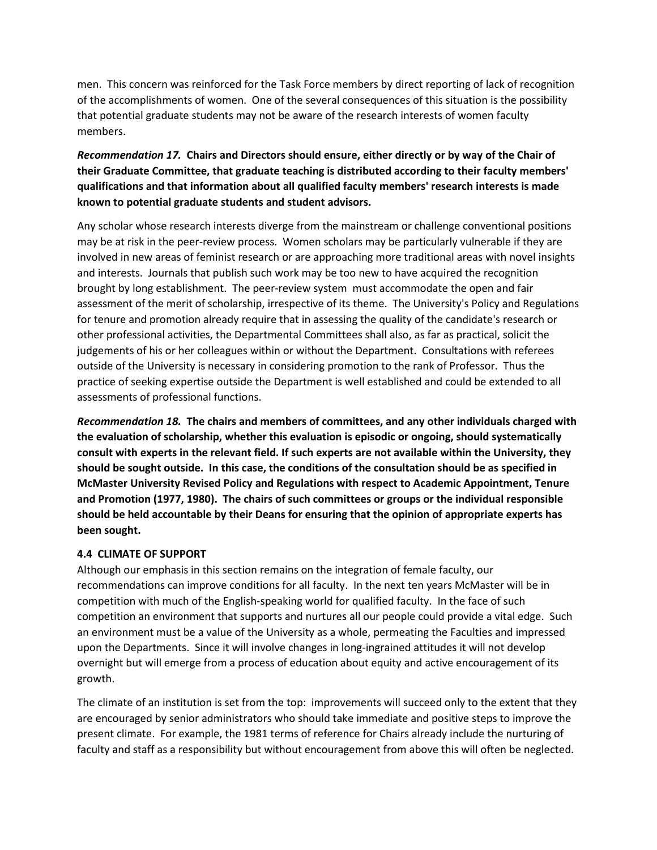men. This concern was reinforced for the Task Force members by direct reporting of lack of recognition of the accomplishments of women. One of the several consequences of this situation is the possibility that potential graduate students may not be aware of the research interests of women faculty members.

*Recommendation 17.* **Chairs and Directors should ensure, either directly or by way of the Chair of their Graduate Committee, that graduate teaching is distributed according to their faculty members' qualifications and that information about all qualified faculty members' research interests is made known to potential graduate students and student advisors.**

Any scholar whose research interests diverge from the mainstream or challenge conventional positions may be at risk in the peer-review process. Women scholars may be particularly vulnerable if they are involved in new areas of feminist research or are approaching more traditional areas with novel insights and interests. Journals that publish such work may be too new to have acquired the recognition brought by long establishment. The peer-review system must accommodate the open and fair assessment of the merit of scholarship, irrespective of its theme. The University's Policy and Regulations for tenure and promotion already require that in assessing the quality of the candidate's research or other professional activities, the Departmental Committees shall also, as far as practical, solicit the judgements of his or her colleagues within or without the Department. Consultations with referees outside of the University is necessary in considering promotion to the rank of Professor. Thus the practice of seeking expertise outside the Department is well established and could be extended to all assessments of professional functions.

*Recommendation 18.* **The chairs and members of committees, and any other individuals charged with the evaluation of scholarship, whether this evaluation is episodic or ongoing, should systematically consult with experts in the relevant field. If such experts are not available within the University, they should be sought outside. In this case, the conditions of the consultation should be as specified in McMaster University Revised Policy and Regulations with respect to Academic Appointment, Tenure and Promotion (1977, 1980). The chairs of such committees or groups or the individual responsible should be held accountable by their Deans for ensuring that the opinion of appropriate experts has been sought.**

#### **4.4 CLIMATE OF SUPPORT**

Although our emphasis in this section remains on the integration of female faculty, our recommendations can improve conditions for all faculty. In the next ten years McMaster will be in competition with much of the English-speaking world for qualified faculty. In the face of such competition an environment that supports and nurtures all our people could provide a vital edge. Such an environment must be a value of the University as a whole, permeating the Faculties and impressed upon the Departments. Since it will involve changes in long-ingrained attitudes it will not develop overnight but will emerge from a process of education about equity and active encouragement of its growth.

The climate of an institution is set from the top: improvements will succeed only to the extent that they are encouraged by senior administrators who should take immediate and positive steps to improve the present climate. For example, the 1981 terms of reference for Chairs already include the nurturing of faculty and staff as a responsibility but without encouragement from above this will often be neglected.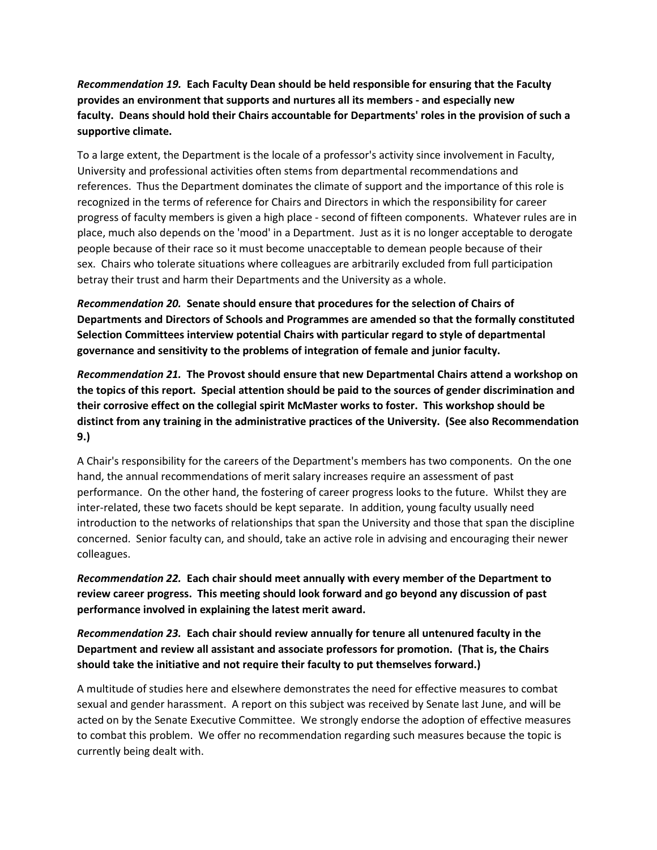# *Recommendation 19.* **Each Faculty Dean should be held responsible for ensuring that the Faculty provides an environment that supports and nurtures all its members - and especially new faculty. Deans should hold their Chairs accountable for Departments' roles in the provision of such a supportive climate.**

To a large extent, the Department is the locale of a professor's activity since involvement in Faculty, University and professional activities often stems from departmental recommendations and references. Thus the Department dominates the climate of support and the importance of this role is recognized in the terms of reference for Chairs and Directors in which the responsibility for career progress of faculty members is given a high place - second of fifteen components. Whatever rules are in place, much also depends on the 'mood' in a Department. Just as it is no longer acceptable to derogate people because of their race so it must become unacceptable to demean people because of their sex. Chairs who tolerate situations where colleagues are arbitrarily excluded from full participation betray their trust and harm their Departments and the University as a whole.

*Recommendation 20.* **Senate should ensure that procedures for the selection of Chairs of Departments and Directors of Schools and Programmes are amended so that the formally constituted Selection Committees interview potential Chairs with particular regard to style of departmental governance and sensitivity to the problems of integration of female and junior faculty.**

*Recommendation 21.* **The Provost should ensure that new Departmental Chairs attend a workshop on the topics of this report. Special attention should be paid to the sources of gender discrimination and their corrosive effect on the collegial spirit McMaster works to foster. This workshop should be distinct from any training in the administrative practices of the University. (See also Recommendation 9.)**

A Chair's responsibility for the careers of the Department's members has two components. On the one hand, the annual recommendations of merit salary increases require an assessment of past performance. On the other hand, the fostering of career progress looks to the future. Whilst they are inter-related, these two facets should be kept separate. In addition, young faculty usually need introduction to the networks of relationships that span the University and those that span the discipline concerned. Senior faculty can, and should, take an active role in advising and encouraging their newer colleagues.

*Recommendation 22.* **Each chair should meet annually with every member of the Department to review career progress. This meeting should look forward and go beyond any discussion of past performance involved in explaining the latest merit award.**

*Recommendation 23.* **Each chair should review annually for tenure all untenured faculty in the Department and review all assistant and associate professors for promotion. (That is, the Chairs should take the initiative and not require their faculty to put themselves forward.)**

A multitude of studies here and elsewhere demonstrates the need for effective measures to combat sexual and gender harassment. A report on this subject was received by Senate last June, and will be acted on by the Senate Executive Committee. We strongly endorse the adoption of effective measures to combat this problem. We offer no recommendation regarding such measures because the topic is currently being dealt with.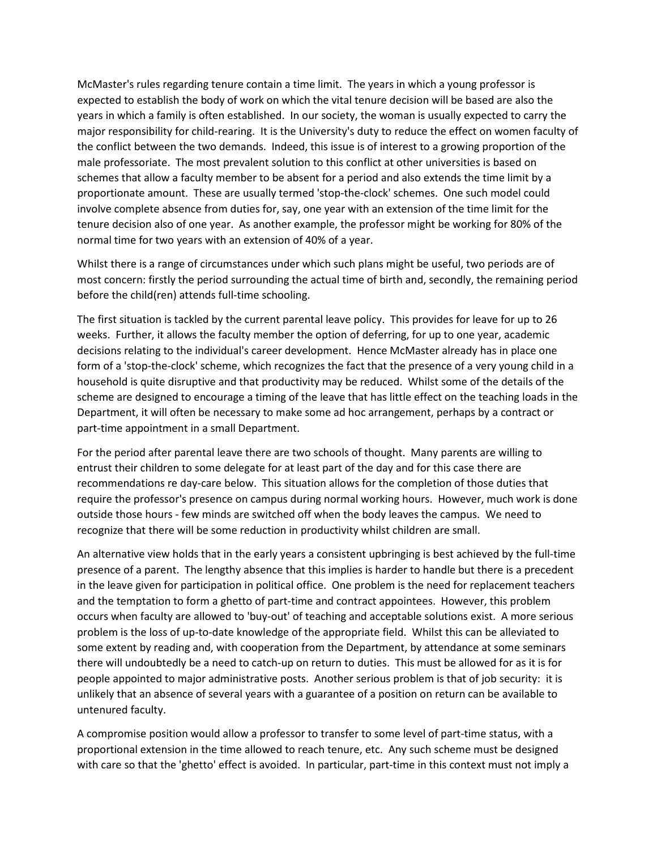McMaster's rules regarding tenure contain a time limit. The years in which a young professor is expected to establish the body of work on which the vital tenure decision will be based are also the years in which a family is often established. In our society, the woman is usually expected to carry the major responsibility for child-rearing. It is the University's duty to reduce the effect on women faculty of the conflict between the two demands. Indeed, this issue is of interest to a growing proportion of the male professoriate. The most prevalent solution to this conflict at other universities is based on schemes that allow a faculty member to be absent for a period and also extends the time limit by a proportionate amount. These are usually termed 'stop-the-clock' schemes. One such model could involve complete absence from duties for, say, one year with an extension of the time limit for the tenure decision also of one year. As another example, the professor might be working for 80% of the normal time for two years with an extension of 40% of a year.

Whilst there is a range of circumstances under which such plans might be useful, two periods are of most concern: firstly the period surrounding the actual time of birth and, secondly, the remaining period before the child(ren) attends full-time schooling.

The first situation is tackled by the current parental leave policy. This provides for leave for up to 26 weeks. Further, it allows the faculty member the option of deferring, for up to one year, academic decisions relating to the individual's career development. Hence McMaster already has in place one form of a 'stop-the-clock' scheme, which recognizes the fact that the presence of a very young child in a household is quite disruptive and that productivity may be reduced. Whilst some of the details of the scheme are designed to encourage a timing of the leave that has little effect on the teaching loads in the Department, it will often be necessary to make some ad hoc arrangement, perhaps by a contract or part-time appointment in a small Department.

For the period after parental leave there are two schools of thought. Many parents are willing to entrust their children to some delegate for at least part of the day and for this case there are recommendations re day-care below. This situation allows for the completion of those duties that require the professor's presence on campus during normal working hours. However, much work is done outside those hours - few minds are switched off when the body leaves the campus. We need to recognize that there will be some reduction in productivity whilst children are small.

An alternative view holds that in the early years a consistent upbringing is best achieved by the full-time presence of a parent. The lengthy absence that this implies is harder to handle but there is a precedent in the leave given for participation in political office. One problem is the need for replacement teachers and the temptation to form a ghetto of part-time and contract appointees. However, this problem occurs when faculty are allowed to 'buy-out' of teaching and acceptable solutions exist. A more serious problem is the loss of up-to-date knowledge of the appropriate field. Whilst this can be alleviated to some extent by reading and, with cooperation from the Department, by attendance at some seminars there will undoubtedly be a need to catch-up on return to duties. This must be allowed for as it is for people appointed to major administrative posts. Another serious problem is that of job security: it is unlikely that an absence of several years with a guarantee of a position on return can be available to untenured faculty.

A compromise position would allow a professor to transfer to some level of part-time status, with a proportional extension in the time allowed to reach tenure, etc. Any such scheme must be designed with care so that the 'ghetto' effect is avoided. In particular, part-time in this context must not imply a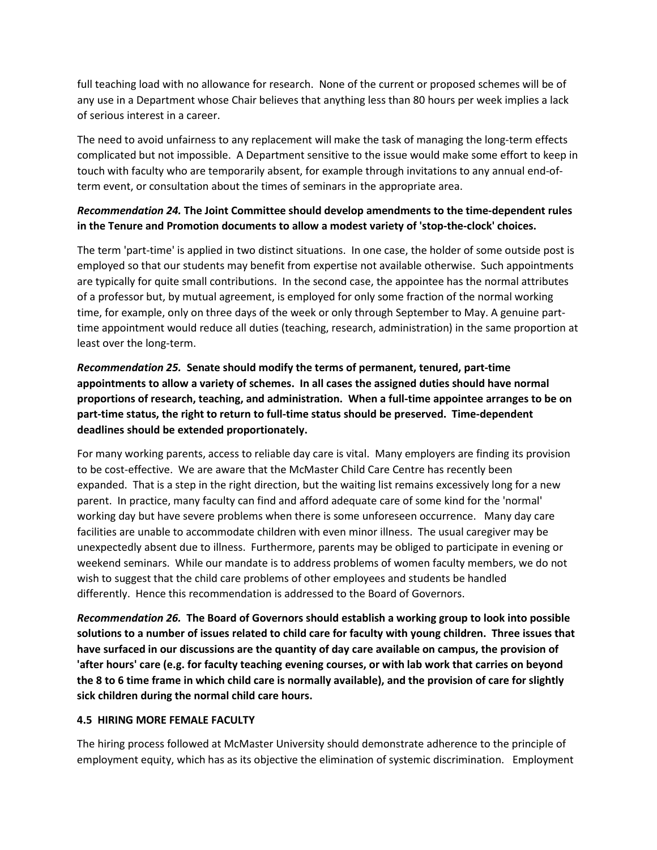full teaching load with no allowance for research. None of the current or proposed schemes will be of any use in a Department whose Chair believes that anything less than 80 hours per week implies a lack of serious interest in a career.

The need to avoid unfairness to any replacement will make the task of managing the long-term effects complicated but not impossible. A Department sensitive to the issue would make some effort to keep in touch with faculty who are temporarily absent, for example through invitations to any annual end-ofterm event, or consultation about the times of seminars in the appropriate area.

## *Recommendation 24.* **The Joint Committee should develop amendments to the time-dependent rules in the Tenure and Promotion documents to allow a modest variety of 'stop-the-clock' choices.**

The term 'part-time' is applied in two distinct situations. In one case, the holder of some outside post is employed so that our students may benefit from expertise not available otherwise. Such appointments are typically for quite small contributions. In the second case, the appointee has the normal attributes of a professor but, by mutual agreement, is employed for only some fraction of the normal working time, for example, only on three days of the week or only through September to May. A genuine parttime appointment would reduce all duties (teaching, research, administration) in the same proportion at least over the long-term.

*Recommendation 25.* **Senate should modify the terms of permanent, tenured, part-time appointments to allow a variety of schemes. In all cases the assigned duties should have normal proportions of research, teaching, and administration. When a full-time appointee arranges to be on part-time status, the right to return to full-time status should be preserved. Time-dependent deadlines should be extended proportionately.**

For many working parents, access to reliable day care is vital. Many employers are finding its provision to be cost-effective. We are aware that the McMaster Child Care Centre has recently been expanded. That is a step in the right direction, but the waiting list remains excessively long for a new parent. In practice, many faculty can find and afford adequate care of some kind for the 'normal' working day but have severe problems when there is some unforeseen occurrence. Many day care facilities are unable to accommodate children with even minor illness. The usual caregiver may be unexpectedly absent due to illness. Furthermore, parents may be obliged to participate in evening or weekend seminars. While our mandate is to address problems of women faculty members, we do not wish to suggest that the child care problems of other employees and students be handled differently. Hence this recommendation is addressed to the Board of Governors.

*Recommendation 26.* **The Board of Governors should establish a working group to look into possible solutions to a number of issues related to child care for faculty with young children. Three issues that have surfaced in our discussions are the quantity of day care available on campus, the provision of 'after hours' care (e.g. for faculty teaching evening courses, or with lab work that carries on beyond the 8 to 6 time frame in which child care is normally available), and the provision of care for slightly sick children during the normal child care hours.**

#### **4.5 HIRING MORE FEMALE FACULTY**

The hiring process followed at McMaster University should demonstrate adherence to the principle of employment equity, which has as its objective the elimination of systemic discrimination. Employment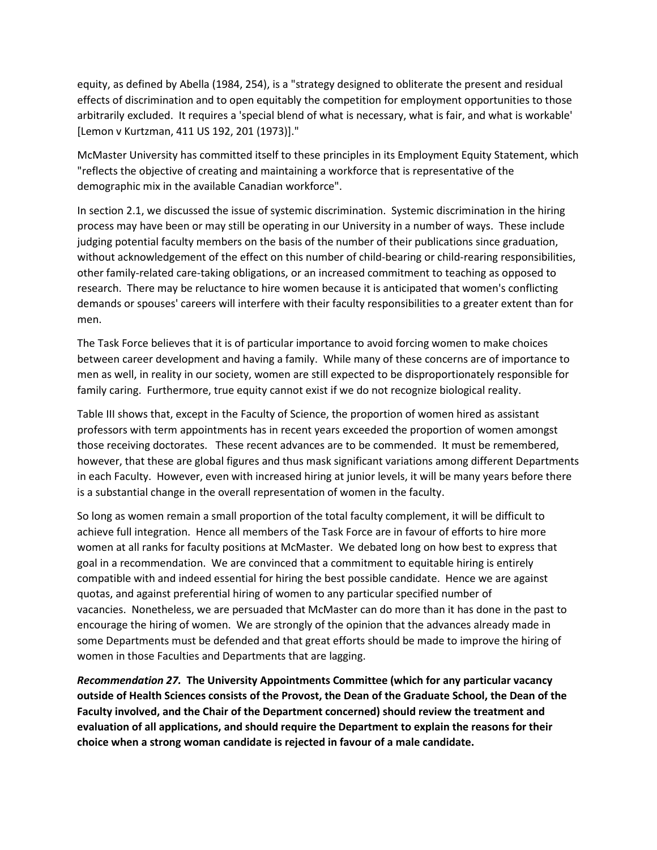equity, as defined by Abella (1984, 254), is a "strategy designed to obliterate the present and residual effects of discrimination and to open equitably the competition for employment opportunities to those arbitrarily excluded. It requires a 'special blend of what is necessary, what is fair, and what is workable' [Lemon v Kurtzman, 411 US 192, 201 (1973)]."

McMaster University has committed itself to these principles in its Employment Equity Statement, which "reflects the objective of creating and maintaining a workforce that is representative of the demographic mix in the available Canadian workforce".

In section 2.1, we discussed the issue of systemic discrimination. Systemic discrimination in the hiring process may have been or may still be operating in our University in a number of ways. These include judging potential faculty members on the basis of the number of their publications since graduation, without acknowledgement of the effect on this number of child-bearing or child-rearing responsibilities, other family-related care-taking obligations, or an increased commitment to teaching as opposed to research. There may be reluctance to hire women because it is anticipated that women's conflicting demands or spouses' careers will interfere with their faculty responsibilities to a greater extent than for men.

The Task Force believes that it is of particular importance to avoid forcing women to make choices between career development and having a family. While many of these concerns are of importance to men as well, in reality in our society, women are still expected to be disproportionately responsible for family caring. Furthermore, true equity cannot exist if we do not recognize biological reality.

Table III shows that, except in the Faculty of Science, the proportion of women hired as assistant professors with term appointments has in recent years exceeded the proportion of women amongst those receiving doctorates. These recent advances are to be commended. It must be remembered, however, that these are global figures and thus mask significant variations among different Departments in each Faculty. However, even with increased hiring at junior levels, it will be many years before there is a substantial change in the overall representation of women in the faculty.

So long as women remain a small proportion of the total faculty complement, it will be difficult to achieve full integration. Hence all members of the Task Force are in favour of efforts to hire more women at all ranks for faculty positions at McMaster. We debated long on how best to express that goal in a recommendation. We are convinced that a commitment to equitable hiring is entirely compatible with and indeed essential for hiring the best possible candidate. Hence we are against quotas, and against preferential hiring of women to any particular specified number of vacancies. Nonetheless, we are persuaded that McMaster can do more than it has done in the past to encourage the hiring of women. We are strongly of the opinion that the advances already made in some Departments must be defended and that great efforts should be made to improve the hiring of women in those Faculties and Departments that are lagging.

*Recommendation 27.* **The University Appointments Committee (which for any particular vacancy outside of Health Sciences consists of the Provost, the Dean of the Graduate School, the Dean of the Faculty involved, and the Chair of the Department concerned) should review the treatment and evaluation of all applications, and should require the Department to explain the reasons for their choice when a strong woman candidate is rejected in favour of a male candidate.**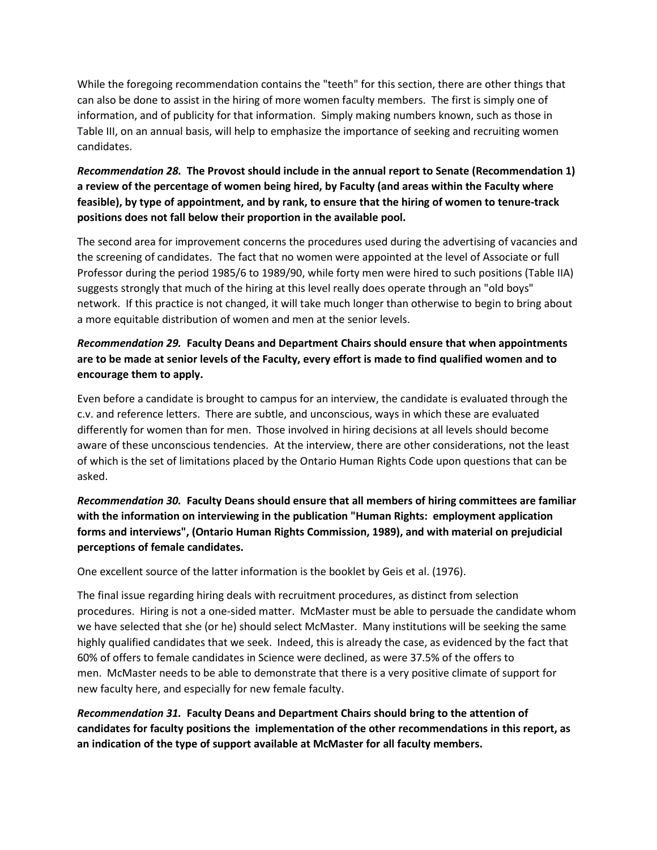While the foregoing recommendation contains the "teeth" for this section, there are other things that can also be done to assist in the hiring of more women faculty members. The first is simply one of information, and of publicity for that information. Simply making numbers known, such as those in Table III, on an annual basis, will help to emphasize the importance of seeking and recruiting women candidates.

# *Recommendation 28.* **The Provost should include in the annual report to Senate (Recommendation 1) a review of the percentage of women being hired, by Faculty (and areas within the Faculty where feasible), by type of appointment, and by rank, to ensure that the hiring of women to tenure-track positions does not fall below their proportion in the available pool.**

The second area for improvement concerns the procedures used during the advertising of vacancies and the screening of candidates. The fact that no women were appointed at the level of Associate or full Professor during the period 1985/6 to 1989/90, while forty men were hired to such positions (Table IIA) suggests strongly that much of the hiring at this level really does operate through an "old boys" network. If this practice is not changed, it will take much longer than otherwise to begin to bring about a more equitable distribution of women and men at the senior levels.

# *Recommendation 29.* **Faculty Deans and Department Chairs should ensure that when appointments are to be made at senior levels of the Faculty, every effort is made to find qualified women and to encourage them to apply.**

Even before a candidate is brought to campus for an interview, the candidate is evaluated through the c.v. and reference letters. There are subtle, and unconscious, ways in which these are evaluated differently for women than for men. Those involved in hiring decisions at all levels should become aware of these unconscious tendencies. At the interview, there are other considerations, not the least of which is the set of limitations placed by the Ontario Human Rights Code upon questions that can be asked.

# *Recommendation 30.* **Faculty Deans should ensure that all members of hiring committees are familiar with the information on interviewing in the publication "Human Rights: employment application forms and interviews", (Ontario Human Rights Commission, 1989), and with material on prejudicial perceptions of female candidates.**

One excellent source of the latter information is the booklet by Geis et al. (1976).

The final issue regarding hiring deals with recruitment procedures, as distinct from selection procedures. Hiring is not a one-sided matter. McMaster must be able to persuade the candidate whom we have selected that she (or he) should select McMaster. Many institutions will be seeking the same highly qualified candidates that we seek. Indeed, this is already the case, as evidenced by the fact that 60% of offers to female candidates in Science were declined, as were 37.5% of the offers to men. McMaster needs to be able to demonstrate that there is a very positive climate of support for new faculty here, and especially for new female faculty.

*Recommendation 31.* **Faculty Deans and Department Chairs should bring to the attention of candidates for faculty positions the implementation of the other recommendations in this report, as an indication of the type of support available at McMaster for all faculty members.**